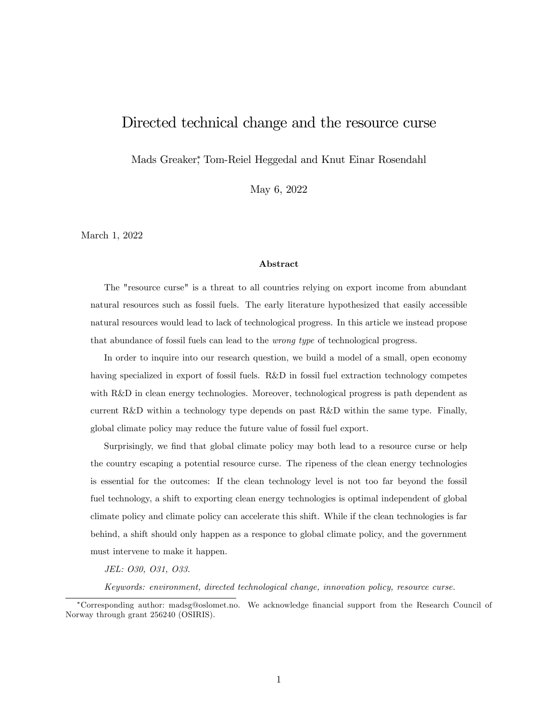# Directed technical change and the resource curse

Mads Greaker , Tom-Reiel Heggedal and Knut Einar Rosendahl

May 6, 2022

March 1, 2022

### Abstract

The "resource curse" is a threat to all countries relying on export income from abundant natural resources such as fossil fuels. The early literature hypothesized that easily accessible natural resources would lead to lack of technological progress. In this article we instead propose that abundance of fossil fuels can lead to the wrong type of technological progress.

In order to inquire into our research question, we build a model of a small, open economy having specialized in export of fossil fuels. R&D in fossil fuel extraction technology competes with R&D in clean energy technologies. Moreover, technological progress is path dependent as current R&D within a technology type depends on past R&D within the same type. Finally, global climate policy may reduce the future value of fossil fuel export.

Surprisingly, we find that global climate policy may both lead to a resource curse or help the country escaping a potential resource curse. The ripeness of the clean energy technologies is essential for the outcomes: If the clean technology level is not too far beyond the fossil fuel technology, a shift to exporting clean energy technologies is optimal independent of global climate policy and climate policy can accelerate this shift. While if the clean technologies is far behind, a shift should only happen as a responce to global climate policy, and the government must intervene to make it happen.

JEL: O30, O31, O33.

Keywords: environment, directed technological change, innovation policy, resource curse.

Corresponding author: madsg@oslomet.no. We acknowledge Önancial support from the Research Council of Norway through grant 256240 (OSIRIS).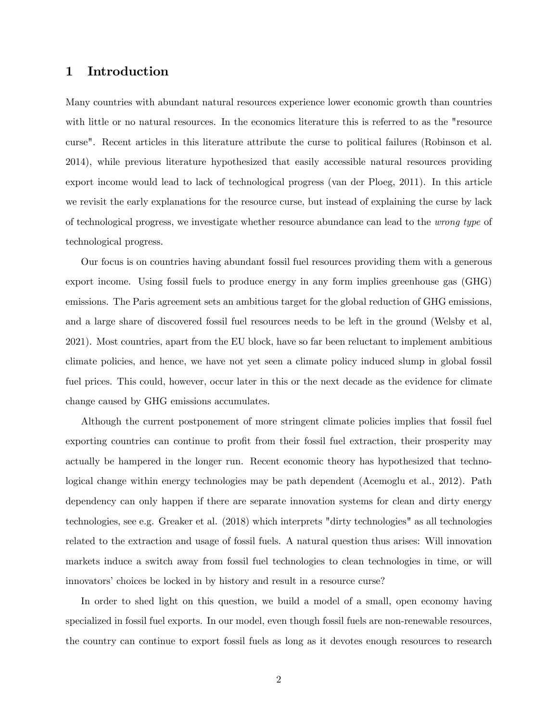# 1 Introduction

Many countries with abundant natural resources experience lower economic growth than countries with little or no natural resources. In the economics literature this is referred to as the "resource" curse". Recent articles in this literature attribute the curse to political failures (Robinson et al. 2014), while previous literature hypothesized that easily accessible natural resources providing export income would lead to lack of technological progress (van der Ploeg, 2011). In this article we revisit the early explanations for the resource curse, but instead of explaining the curse by lack of technological progress, we investigate whether resource abundance can lead to the wrong type of technological progress.

Our focus is on countries having abundant fossil fuel resources providing them with a generous export income. Using fossil fuels to produce energy in any form implies greenhouse gas (GHG) emissions. The Paris agreement sets an ambitious target for the global reduction of GHG emissions, and a large share of discovered fossil fuel resources needs to be left in the ground (Welsby et al, 2021). Most countries, apart from the EU block, have so far been reluctant to implement ambitious climate policies, and hence, we have not yet seen a climate policy induced slump in global fossil fuel prices. This could, however, occur later in this or the next decade as the evidence for climate change caused by GHG emissions accumulates.

Although the current postponement of more stringent climate policies implies that fossil fuel exporting countries can continue to profit from their fossil fuel extraction, their prosperity may actually be hampered in the longer run. Recent economic theory has hypothesized that technological change within energy technologies may be path dependent (Acemoglu et al., 2012). Path dependency can only happen if there are separate innovation systems for clean and dirty energy technologies, see e.g. Greaker et al. (2018) which interprets "dirty technologies" as all technologies related to the extraction and usage of fossil fuels. A natural question thus arises: Will innovation markets induce a switch away from fossil fuel technologies to clean technologies in time, or will innovators' choices be locked in by history and result in a resource curse?

In order to shed light on this question, we build a model of a small, open economy having specialized in fossil fuel exports. In our model, even though fossil fuels are non-renewable resources, the country can continue to export fossil fuels as long as it devotes enough resources to research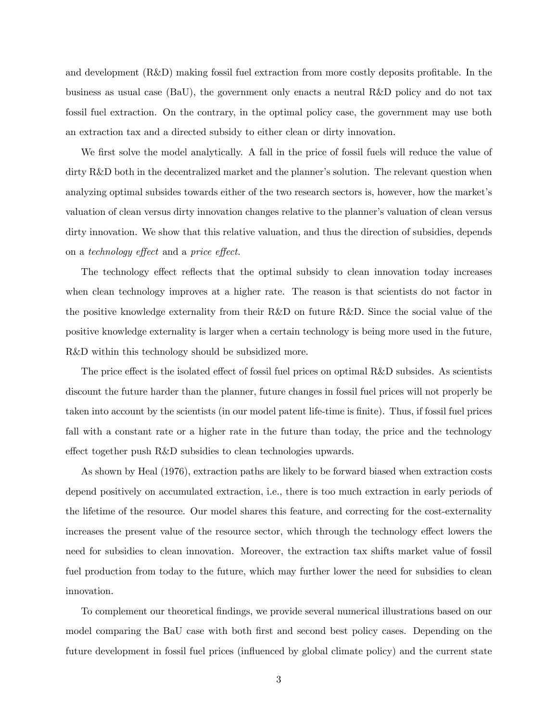and development  $(R&D)$  making fossil fuel extraction from more costly deposits profitable. In the business as usual case (BaU), the government only enacts a neutral R&D policy and do not tax fossil fuel extraction. On the contrary, in the optimal policy case, the government may use both an extraction tax and a directed subsidy to either clean or dirty innovation.

We first solve the model analytically. A fall in the price of fossil fuels will reduce the value of dirty R&D both in the decentralized market and the planner's solution. The relevant question when analyzing optimal subsides towards either of the two research sectors is, however, how the market's valuation of clean versus dirty innovation changes relative to the planner's valuation of clean versus dirty innovation. We show that this relative valuation, and thus the direction of subsidies, depends on a technology effect and a price effect.

The technology effect reflects that the optimal subsidy to clean innovation today increases when clean technology improves at a higher rate. The reason is that scientists do not factor in the positive knowledge externality from their R&D on future R&D. Since the social value of the positive knowledge externality is larger when a certain technology is being more used in the future, R&D within this technology should be subsidized more.

The price effect is the isolated effect of fossil fuel prices on optimal  $R&D$  subsides. As scientists discount the future harder than the planner, future changes in fossil fuel prices will not properly be taken into account by the scientists (in our model patent life-time is Önite). Thus, if fossil fuel prices fall with a constant rate or a higher rate in the future than today, the price and the technology effect together push R&D subsidies to clean technologies upwards.

As shown by Heal (1976), extraction paths are likely to be forward biased when extraction costs depend positively on accumulated extraction, i.e., there is too much extraction in early periods of the lifetime of the resource. Our model shares this feature, and correcting for the cost-externality increases the present value of the resource sector, which through the technology effect lowers the need for subsidies to clean innovation. Moreover, the extraction tax shifts market value of fossil fuel production from today to the future, which may further lower the need for subsidies to clean innovation.

To complement our theoretical Öndings, we provide several numerical illustrations based on our model comparing the BaU case with both first and second best policy cases. Depending on the future development in fossil fuel prices (influenced by global climate policy) and the current state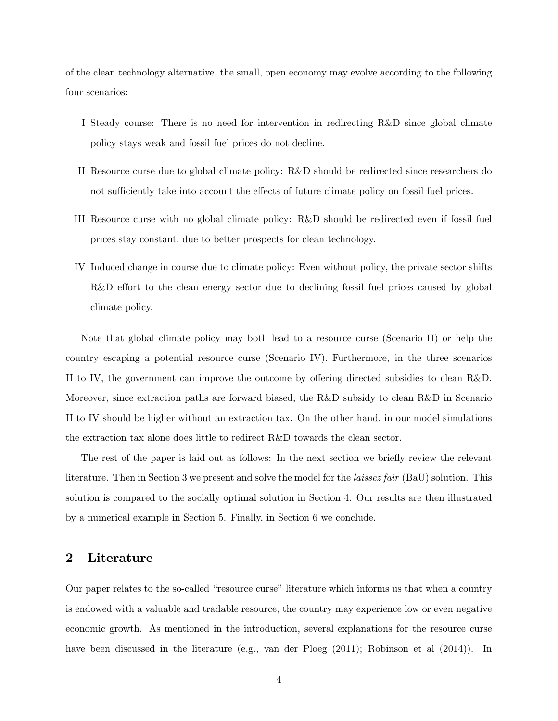of the clean technology alternative, the small, open economy may evolve according to the following four scenarios:

- I Steady course: There is no need for intervention in redirecting R&D since global climate policy stays weak and fossil fuel prices do not decline.
- II Resource curse due to global climate policy: R&D should be redirected since researchers do not sufficiently take into account the effects of future climate policy on fossil fuel prices.
- III Resource curse with no global climate policy: R&D should be redirected even if fossil fuel prices stay constant, due to better prospects for clean technology.
- IV Induced change in course due to climate policy: Even without policy, the private sector shifts  $R&D$  effort to the clean energy sector due to declining fossil fuel prices caused by global climate policy.

Note that global climate policy may both lead to a resource curse (Scenario II) or help the country escaping a potential resource curse (Scenario IV). Furthermore, in the three scenarios II to IV, the government can improve the outcome by offering directed subsidies to clean R&D. Moreover, since extraction paths are forward biased, the R&D subsidy to clean R&D in Scenario II to IV should be higher without an extraction tax. On the other hand, in our model simulations the extraction tax alone does little to redirect R&D towards the clean sector.

The rest of the paper is laid out as follows: In the next section we briefly review the relevant literature. Then in Section 3 we present and solve the model for the *laissez fair* (BaU) solution. This solution is compared to the socially optimal solution in Section 4. Our results are then illustrated by a numerical example in Section 5. Finally, in Section 6 we conclude.

# 2 Literature

Our paper relates to the so-called "resource curse" literature which informs us that when a country is endowed with a valuable and tradable resource, the country may experience low or even negative economic growth. As mentioned in the introduction, several explanations for the resource curse have been discussed in the literature (e.g., van der Ploeg (2011); Robinson et al (2014)). In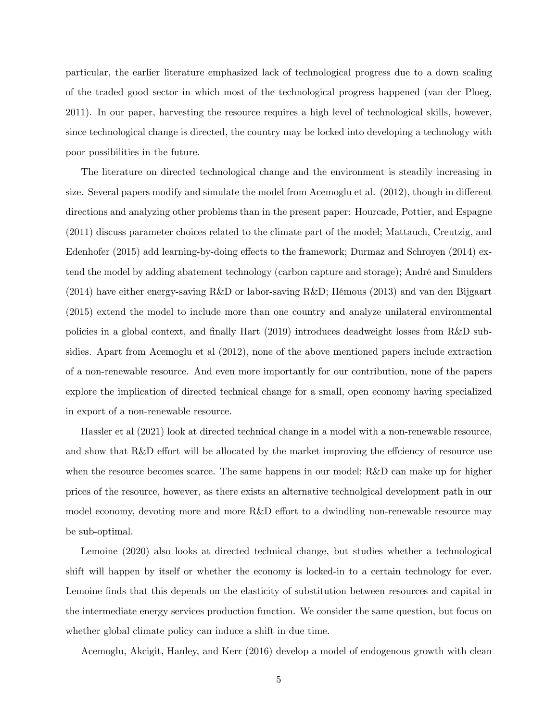particular, the earlier literature emphasized lack of technological progress due to a down scaling of the traded good sector in which most of the technological progress happened (van der Ploeg, 2011). In our paper, harvesting the resource requires a high level of technological skills, however, since technological change is directed, the country may be locked into developing a technology with poor possibilities in the future.

The literature on directed technological change and the environment is steadily increasing in size. Several papers modify and simulate the model from Acemoglu et al.  $(2012)$ , though in different directions and analyzing other problems than in the present paper: Hourcade, Pottier, and Espagne (2011) discuss parameter choices related to the climate part of the model; Mattauch, Creutzig, and Edenhofer (2015) add learning-by-doing effects to the framework; Durmaz and Schroyen (2014) extend the model by adding abatement technology (carbon capture and storage); André and Smulders  $(2014)$  have either energy-saving R&D or labor-saving R&D; Hémous (2013) and van den Bijgaart (2015) extend the model to include more than one country and analyze unilateral environmental policies in a global context, and finally Hart (2019) introduces deadweight losses from R&D subsidies. Apart from Acemoglu et al (2012), none of the above mentioned papers include extraction of a non-renewable resource. And even more importantly for our contribution, none of the papers explore the implication of directed technical change for a small, open economy having specialized in export of a non-renewable resource.

Hassler et al (2021) look at directed technical change in a model with a non-renewable resource, and show that  $R\&D$  effort will be allocated by the market improving the effciency of resource use when the resource becomes scarce. The same happens in our model; R&D can make up for higher prices of the resource, however, as there exists an alternative technolgical development path in our model economy, devoting more and more R&D effort to a dwindling non-renewable resource may be sub-optimal.

Lemoine (2020) also looks at directed technical change, but studies whether a technological shift will happen by itself or whether the economy is locked-in to a certain technology for ever. Lemoine finds that this depends on the elasticity of substitution between resources and capital in the intermediate energy services production function. We consider the same question, but focus on whether global climate policy can induce a shift in due time.

Acemoglu, Akcigit, Hanley, and Kerr (2016) develop a model of endogenous growth with clean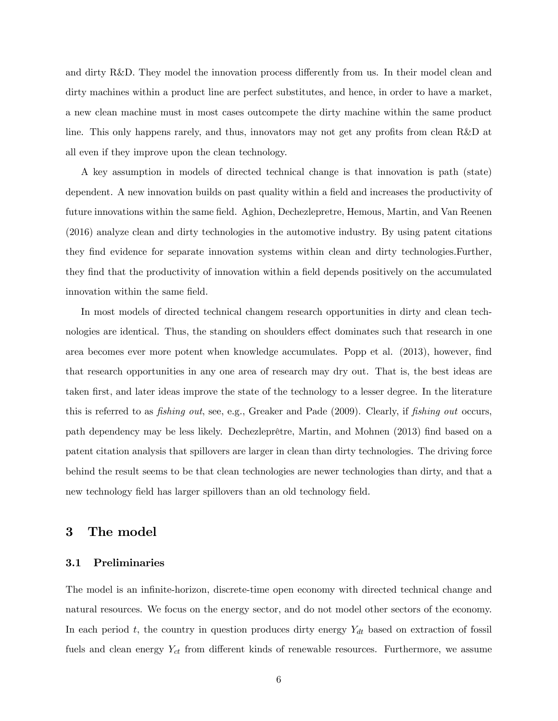and dirty  $R&D$ . They model the innovation process differently from us. In their model clean and dirty machines within a product line are perfect substitutes, and hence, in order to have a market, a new clean machine must in most cases outcompete the dirty machine within the same product line. This only happens rarely, and thus, innovators may not get any profits from clean R&D at all even if they improve upon the clean technology.

A key assumption in models of directed technical change is that innovation is path (state) dependent. A new innovation builds on past quality within a field and increases the productivity of future innovations within the same field. Aghion, Dechezlepretre, Hemous, Martin, and Van Reenen (2016) analyze clean and dirty technologies in the automotive industry. By using patent citations they Önd evidence for separate innovation systems within clean and dirty technologies.Further, they find that the productivity of innovation within a field depends positively on the accumulated innovation within the same field.

In most models of directed technical changem research opportunities in dirty and clean technologies are identical. Thus, the standing on shoulders effect dominates such that research in one area becomes ever more potent when knowledge accumulates. Popp et al. (2013), however, find that research opportunities in any one area of research may dry out. That is, the best ideas are taken first, and later ideas improve the state of the technology to a lesser degree. In the literature this is referred to as *fishing out*, see, e.g., Greaker and Pade (2009). Clearly, if *fishing out* occurs, path dependency may be less likely. Dechezleprêtre, Martin, and Mohnen (2013) find based on a patent citation analysis that spillovers are larger in clean than dirty technologies. The driving force behind the result seems to be that clean technologies are newer technologies than dirty, and that a new technology field has larger spillovers than an old technology field.

# 3 The model

## 3.1 Preliminaries

The model is an infinite-horizon, discrete-time open economy with directed technical change and natural resources. We focus on the energy sector, and do not model other sectors of the economy. In each period t, the country in question produces dirty energy  $Y_{dt}$  based on extraction of fossil fuels and clean energy  $Y_{ct}$  from different kinds of renewable resources. Furthermore, we assume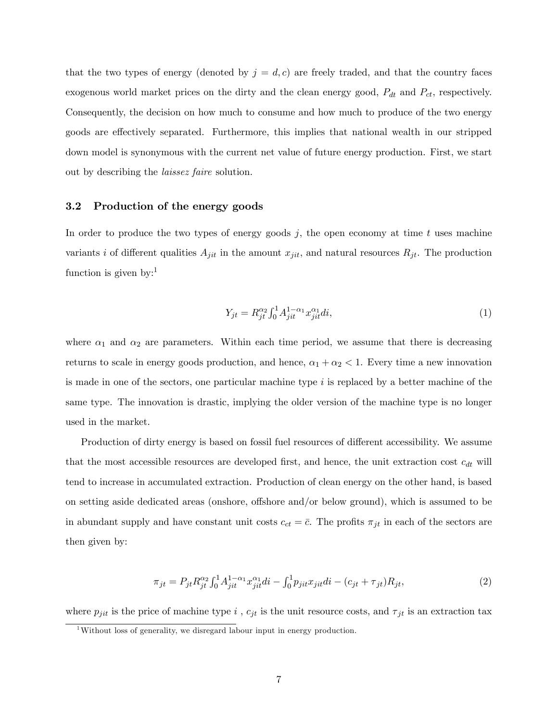that the two types of energy (denoted by  $j = d, c$ ) are freely traded, and that the country faces exogenous world market prices on the dirty and the clean energy good,  $P_{dt}$  and  $P_{ct}$ , respectively. Consequently, the decision on how much to consume and how much to produce of the two energy goods are effectively separated. Furthermore, this implies that national wealth in our stripped down model is synonymous with the current net value of future energy production. First, we start out by describing the laissez faire solution.

## 3.2 Production of the energy goods

In order to produce the two types of energy goods  $j$ , the open economy at time t uses machine variants i of different qualities  $A_{jit}$  in the amount  $x_{jit}$ , and natural resources  $R_{jt}$ . The production function is given by:<sup>1</sup>

$$
Y_{jt} = R_{jt}^{\alpha_2} \int_0^1 A_{jit}^{1-\alpha_1} x_{jit}^{\alpha_1} di,
$$
\n(1)

where  $\alpha_1$  and  $\alpha_2$  are parameters. Within each time period, we assume that there is decreasing returns to scale in energy goods production, and hence,  $\alpha_1 + \alpha_2 < 1$ . Every time a new innovation is made in one of the sectors, one particular machine type  $i$  is replaced by a better machine of the same type. The innovation is drastic, implying the older version of the machine type is no longer used in the market.

Production of dirty energy is based on fossil fuel resources of different accessibility. We assume that the most accessible resources are developed first, and hence, the unit extraction cost  $c_{dt}$  will tend to increase in accumulated extraction. Production of clean energy on the other hand, is based on setting aside dedicated areas (onshore, offshore and/or below ground), which is assumed to be in abundant supply and have constant unit costs  $c_{ct} = \bar{c}$ . The profits  $\pi_{jt}$  in each of the sectors are then given by:

$$
\pi_{jt} = P_{jt} R_{jt}^{\alpha_2} \int_0^1 A_{jit}^{1-\alpha_1} x_{jit}^{\alpha_1} di - \int_0^1 p_{jit} x_{jit} di - (c_{jt} + \tau_{jt}) R_{jt},\tag{2}
$$

where  $p_{jit}$  is the price of machine type i,  $c_{jt}$  is the unit resource costs, and  $\tau_{jt}$  is an extraction tax

<sup>&</sup>lt;sup>1</sup>Without loss of generality, we disregard labour input in energy production.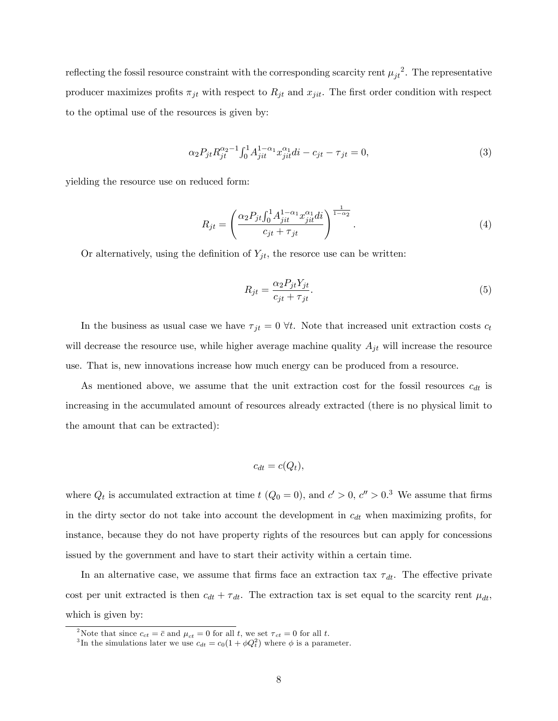reflecting the fossil resource constraint with the corresponding scarcity rent  $\mu_{jt}^2$ . The representative producer maximizes profits  $\pi_{jt}$  with respect to  $R_{jt}$  and  $x_{jit}$ . The first order condition with respect to the optimal use of the resources is given by:

$$
\alpha_2 P_{jt} R_{jt}^{\alpha_2 - 1} \int_0^1 A_{jit}^{1 - \alpha_1} x_{jit}^{\alpha_1} di - c_{jt} - \tau_{jt} = 0,
$$
\n(3)

yielding the resource use on reduced form:

$$
R_{jt} = \left(\frac{\alpha_2 P_{jt} \int_0^1 A_{jit}^{1-\alpha_1} x_{jit}^{\alpha_1} di}{c_{jt} + \tau_{jt}}\right)^{\frac{1}{1-\alpha_2}}.
$$
\n(4)

Or alternatively, using the definition of  $Y_{jt}$ , the resorce use can be written:

$$
R_{jt} = \frac{\alpha_2 P_{jt} Y_{jt}}{c_{jt} + \tau_{jt}}.\tag{5}
$$

In the business as usual case we have  $\tau_{jt} = 0$   $\forall t$ . Note that increased unit extraction costs  $c_t$ will decrease the resource use, while higher average machine quality  $A_{jt}$  will increase the resource use. That is, new innovations increase how much energy can be produced from a resource.

As mentioned above, we assume that the unit extraction cost for the fossil resources  $c_{dt}$  is increasing in the accumulated amount of resources already extracted (there is no physical limit to the amount that can be extracted):

$$
c_{dt} = c(Q_t),
$$

where  $Q_t$  is accumulated extraction at time  $t$  ( $Q_0 = 0$ ), and  $c' > 0$ ,  $c'' > 0$ .<sup>3</sup> We assume that firms in the dirty sector do not take into account the development in  $c_{dt}$  when maximizing profits, for instance, because they do not have property rights of the resources but can apply for concessions issued by the government and have to start their activity within a certain time.

In an alternative case, we assume that firms face an extraction tax  $\tau_{dt}$ . The effective private cost per unit extracted is then  $c_{dt} + \tau_{dt}$ . The extraction tax is set equal to the scarcity rent  $\mu_{dt}$ , which is given by:

<sup>&</sup>lt;sup>2</sup>Note that since  $c_{ct} = \bar{c}$  and  $\mu_{ct} = 0$  for all t, we set  $\tau_{ct} = 0$  for all t.<br><sup>3</sup>In the simulations later we use  $c_{dt} = c_0(1 + \phi Q_t^2)$  where  $\phi$  is a parameter.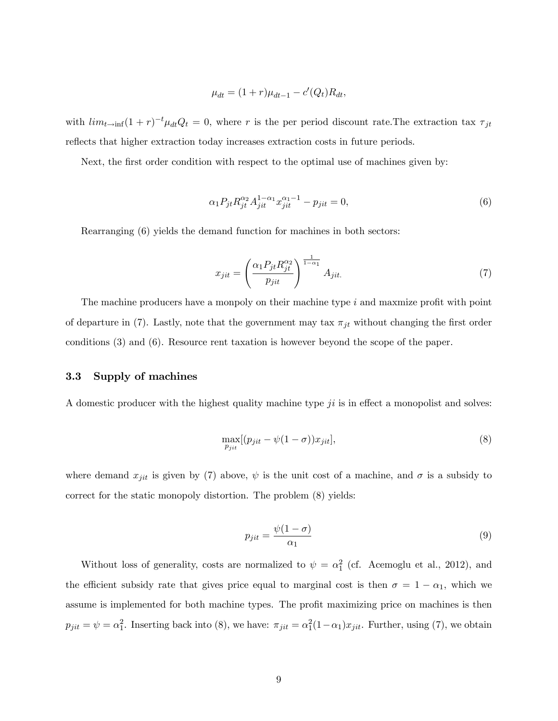$$
\mu_{dt} = (1+r)\mu_{dt-1} - c'(Q_t)R_{dt},
$$

with  $\lim_{t\to\infty} (1+r)^{-t} \mu_{dt} Q_t = 0$ , where r is the per period discount rate. The extraction tax  $\tau_{jt}$ reflects that higher extraction today increases extraction costs in future periods.

Next, the first order condition with respect to the optimal use of machines given by:

$$
\alpha_1 P_{jt} R_{jt}^{\alpha_2} A_{jit}^{1-\alpha_1} x_{jit}^{\alpha_1-1} - p_{jit} = 0,\tag{6}
$$

Rearranging (6) yields the demand function for machines in both sectors:

$$
x_{jit} = \left(\frac{\alpha_1 P_{jt} R_{jt}^{\alpha_2}}{p_{jit}}\right)^{\frac{1}{1-\alpha_1}} A_{jit} \tag{7}
$$

The machine producers have a monpoly on their machine type  $i$  and maxmize profit with point of departure in (7). Lastly, note that the government may tax  $\pi_{jt}$  without changing the first order conditions (3) and (6). Resource rent taxation is however beyond the scope of the paper.

## 3.3 Supply of machines

A domestic producer with the highest quality machine type  $ji$  is in effect a monopolist and solves:

$$
\max_{p_{jit}} [(p_{jit} - \psi(1 - \sigma))x_{jit}], \qquad (8)
$$

where demand  $x_{jit}$  is given by (7) above,  $\psi$  is the unit cost of a machine, and  $\sigma$  is a subsidy to correct for the static monopoly distortion. The problem (8) yields:

$$
p_{jit} = \frac{\psi(1-\sigma)}{\alpha_1} \tag{9}
$$

Without loss of generality, costs are normalized to  $\psi = \alpha_1^2$  (cf. Acemoglu et al., 2012), and the efficient subsidy rate that gives price equal to marginal cost is then  $\sigma = 1 - \alpha_1$ , which we assume is implemented for both machine types. The profit maximizing price on machines is then  $p_{jit} = \psi = \alpha_1^2$ . Inserting back into (8), we have:  $\pi_{jit} = \alpha_1^2 (1 - \alpha_1) x_{jit}$ . Further, using (7), we obtain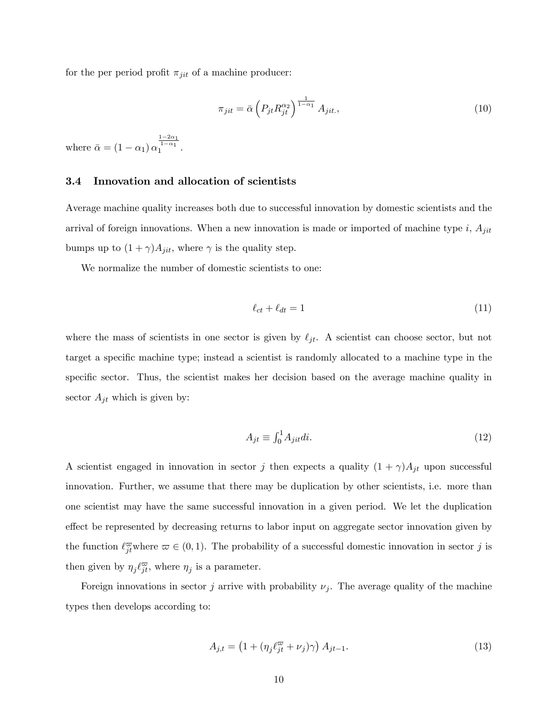for the per period profit  $\pi_{jit}$  of a machine producer:

$$
\pi_{jit} = \bar{\alpha} \left( P_{jt} R_{jt}^{\alpha_2} \right)^{\frac{1}{1-\alpha_1}} A_{jit},\tag{10}
$$

where  $\bar{\alpha} = (1 - \alpha_1) \alpha$  $\frac{1-2\alpha_1}{1-\alpha_1}$ .

## 3.4 Innovation and allocation of scientists

Average machine quality increases both due to successful innovation by domestic scientists and the arrival of foreign innovations. When a new innovation is made or imported of machine type  $i$ ,  $A_{jit}$ bumps up to  $(1 + \gamma)A_{jit}$ , where  $\gamma$  is the quality step.

We normalize the number of domestic scientists to one:

$$
\ell_{ct} + \ell_{dt} = 1 \tag{11}
$$

where the mass of scientists in one sector is given by  $\ell_{jt}$ . A scientist can choose sector, but not target a specific machine type; instead a scientist is randomly allocated to a machine type in the specific sector. Thus, the scientist makes her decision based on the average machine quality in sector  $A_{jt}$  which is given by:

$$
A_{jt} \equiv \int_0^1 A_{jit} di. \tag{12}
$$

A scientist engaged in innovation in sector j then expects a quality  $(1 + \gamma)A_{jt}$  upon successful innovation. Further, we assume that there may be duplication by other scientists, i.e. more than one scientist may have the same successful innovation in a given period. We let the duplication effect be represented by decreasing returns to labor input on aggregate sector innovation given by the function  $\ell_{jt}^{\infty}$  where  $\varpi \in (0, 1)$ . The probability of a successful domestic innovation in sector j is then given by  $\eta_j \ell_{jt}^{\varpi}$ , where  $\eta_j$  is a parameter.

Foreign innovations in sector j arrive with probability  $\nu_j$ . The average quality of the machine types then develops according to:

$$
A_{j,t} = \left(1 + \left(\eta_j \ell_{jt}^{\overline{\omega}} + \nu_j\right)\gamma\right) A_{jt-1}.\tag{13}
$$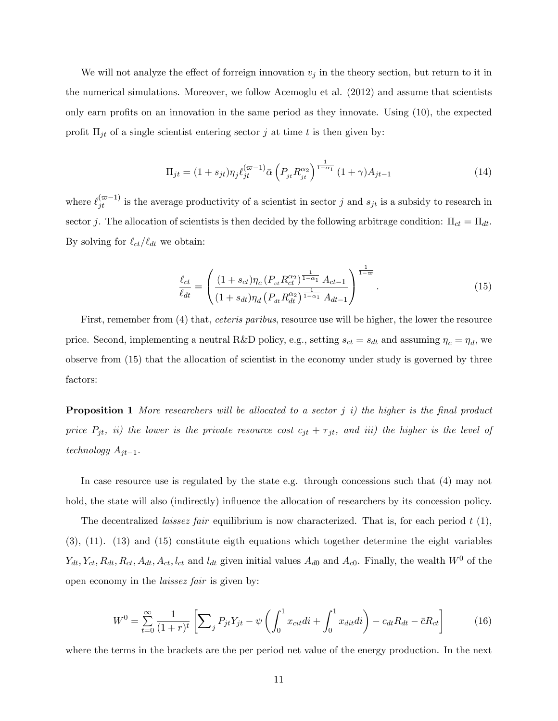We will not analyze the effect of forreign innovation  $v_j$  in the theory section, but return to it in the numerical simulations. Moreover, we follow Acemoglu et al. (2012) and assume that scientists only earn profits on an innovation in the same period as they innovate. Using  $(10)$ , the expected profit  $\Pi_{jt}$  of a single scientist entering sector j at time t is then given by:

$$
\Pi_{jt} = (1 + s_{jt}) \eta_j \ell_{jt}^{(\varpi - 1)} \bar{\alpha} \left( P_{jt} R_{jt}^{\alpha_2} \right)^{\frac{1}{1 - \alpha_1}} (1 + \gamma) A_{jt-1}
$$
\n(14)

where  $\ell_{jt}^{(\varpi-1)}$  is the average productivity of a scientist in sector j and  $s_{jt}$  is a subsidy to research in sector j. The allocation of scientists is then decided by the following arbitrage condition:  $\Pi_{ct} = \Pi_{dt}$ . By solving for  $\ell_{ct}/\ell_{dt}$  we obtain:

$$
\frac{\ell_{ct}}{\ell_{dt}} = \left( \frac{(1+s_{ct})\eta_c \left( P_{ct} R_{ct}^{\alpha_2} \right)^{\frac{1}{1-\alpha_1}} A_{ct-1}}{(1+s_{dt})\eta_d \left( P_{dt} R_{dt}^{\alpha_2} \right)^{\frac{1}{1-\alpha_1}} A_{dt-1}} \right)^{\frac{1}{1-\omega}}.
$$
\n(15)

First, remember from (4) that, *ceteris paribus*, resource use will be higher, the lower the resource price. Second, implementing a neutral R&D policy, e.g., setting  $s_{ct} = s_{dt}$  and assuming  $\eta_c = \eta_d$ , we observe from (15) that the allocation of scientist in the economy under study is governed by three factors:

**Proposition 1** More researchers will be allocated to a sector  $j$  i) the higher is the final product price  $P_{jt}$ , ii) the lower is the private resource cost  $c_{jt} + \tau_{jt}$ , and iii) the higher is the level of technology  $A_{jt-1}$ .

In case resource use is regulated by the state e.g. through concessions such that (4) may not hold, the state will also (indirectly) influence the allocation of researchers by its concession policy.

The decentralized *laissez fair* equilibrium is now characterized. That is, for each period  $t(1)$ , (3), (11). (13) and (15) constitute eigth equations which together determine the eight variables  $Y_{dt}$ ,  $Y_{ct}$ ,  $R_{dt}$ ,  $R_{ct}$ ,  $A_{dt}$ ,  $A_{ct}$ ,  $l_{ct}$  and  $l_{dt}$  given initial values  $A_{d0}$  and  $A_{c0}$ . Finally, the wealth  $W^{0}$  of the open economy in the laissez fair is given by:

$$
W^{0} = \sum_{t=0}^{\infty} \frac{1}{(1+r)^{t}} \left[ \sum_{j} P_{jt} Y_{jt} - \psi \left( \int_{0}^{1} x_{cit} di + \int_{0}^{1} x_{dit} di \right) - c_{dt} R_{dt} - \bar{c} R_{ct} \right]
$$
(16)

where the terms in the brackets are the per period net value of the energy production. In the next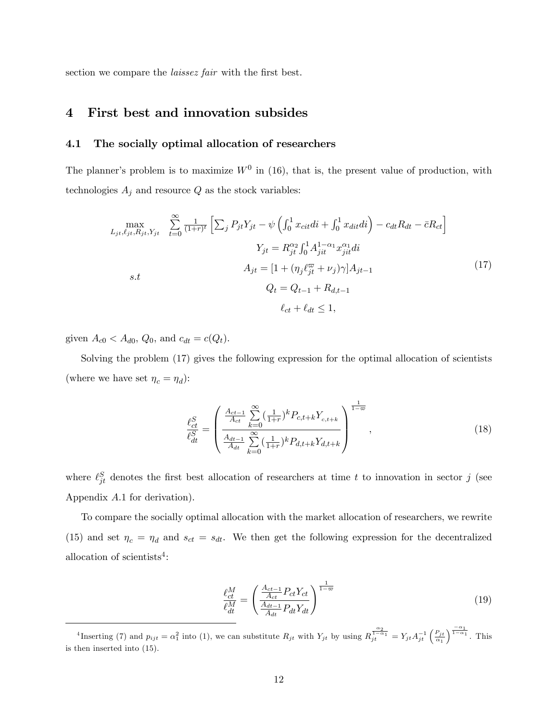section we compare the *laissez fair* with the first best.

# 4 First best and innovation subsides

## 4.1 The socially optimal allocation of researchers

The planner's problem is to maximize  $W^0$  in (16), that is, the present value of production, with technologies  ${\cal A}_j$  and resource  ${\cal Q}$  as the stock variables:

$$
\max_{L_{jt}, \ell_{jt}, R_{jt}, Y_{jt}} \sum_{t=0}^{\infty} \frac{1}{(1+r)^t} \left[ \sum_j P_{jt} Y_{jt} - \psi \left( \int_0^1 x_{cit} di + \int_0^1 x_{dit} di \right) - c_{dt} R_{dt} - \bar{c} R_{ct} \right]
$$

$$
Y_{jt} = R_{jt}^{\alpha_2} \int_0^1 A_{jit}^{1-\alpha_1} x_{jit}^{\alpha_1} di
$$

$$
A_{jt} = \left[ 1 + (\eta_j \ell_{jt}^{\varpi} + \nu_j) \gamma \right] A_{jt-1}
$$

$$
Q_t = Q_{t-1} + R_{d,t-1}
$$

$$
\ell_{ct} + \ell_{dt} \le 1,
$$

$$
(17)
$$

given  $A_{c0} < A_{d0}$ ,  $Q_0$ , and  $c_{dt} = c(Q_t)$ .

Solving the problem (17) gives the following expression for the optimal allocation of scientists (where we have set  $\eta_c = \eta_d$ ):

$$
\frac{\ell_{ct}^{S}}{\ell_{dt}^{S}} = \left(\frac{\frac{A_{ct-1}}{A_{ct}} \sum_{k=0}^{\infty} (\frac{1}{1+r})^{k} P_{c,t+k} Y_{c,t+k}}{\frac{A_{dt-1}}{A_{dt}} \sum_{k=0}^{\infty} (\frac{1}{1+r})^{k} P_{d,t+k} Y_{d,t+k}}\right)^{\frac{1}{1-\infty}},
$$
\n(18)

where  $\ell_{jt}^S$  denotes the first best allocation of researchers at time t to innovation in sector j (see Appendix A:1 for derivation).

To compare the socially optimal allocation with the market allocation of researchers, we rewrite (15) and set  $\eta_c = \eta_d$  and  $s_{ct} = s_{dt}$ . We then get the following expression for the decentralized allocation of scientists<sup>4</sup>:

$$
\frac{\ell_{ct}^{M}}{\ell_{dt}^{M}} = \left(\frac{\frac{A_{ct-1}}{A_{ct}} P_{ct} Y_{ct}}{\frac{A_{dt-1}}{A_{dt}} P_{dt} Y_{dt}}\right)^{\frac{1}{1-\varpi}}
$$
\n(19)

<sup>&</sup>lt;sup>4</sup>Inserting (7) and  $p_{ijt} = \alpha_1^2$  into (1), we can substitute  $R_{jt}$  with  $Y_{jt}$  by using  $R_{jt}^{\frac{\alpha_2}{1-\alpha_1}} = Y_{jt}A_{jt}^{-1} \left( \frac{P_{jt}}{\alpha_1} \right)$  $\int^{\frac{-\alpha_1}{1-\alpha_1}}$ . This is then inserted into (15).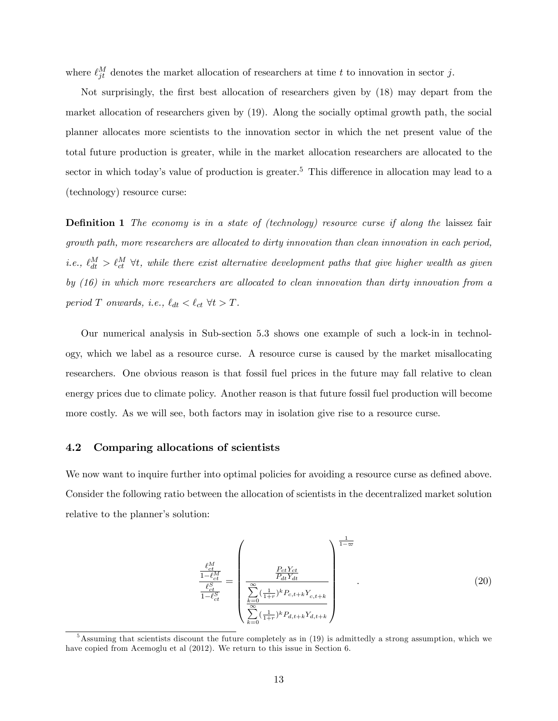where  $\ell_{jt}^M$  denotes the market allocation of researchers at time t to innovation in sector j.

Not surprisingly, the first best allocation of researchers given by (18) may depart from the market allocation of researchers given by (19). Along the socially optimal growth path, the social planner allocates more scientists to the innovation sector in which the net present value of the total future production is greater, while in the market allocation researchers are allocated to the sector in which today's value of production is greater.<sup>5</sup> This difference in allocation may lead to a (technology) resource curse:

**Definition 1** The economy is in a state of (technology) resource curse if along the laissez fair growth path, more researchers are allocated to dirty innovation than clean innovation in each period, i.e.,  $\ell_{dt}^{M} > \ell_{ct}^{M}$   $\forall t$ , while there exist alternative development paths that give higher wealth as given by (16) in which more researchers are allocated to clean innovation than dirty innovation from a period T onwards, i.e.,  $\ell_{dt} < \ell_{ct} \ \forall t > T$ .

Our numerical analysis in Sub-section 5.3 shows one example of such a lock-in in technology, which we label as a resource curse. A resource curse is caused by the market misallocating researchers. One obvious reason is that fossil fuel prices in the future may fall relative to clean energy prices due to climate policy. Another reason is that future fossil fuel production will become more costly. As we will see, both factors may in isolation give rise to a resource curse.

## 4.2 Comparing allocations of scientists

We now want to inquire further into optimal policies for avoiding a resource curse as defined above. Consider the following ratio between the allocation of scientists in the decentralized market solution relative to the planner's solution:

$$
\frac{\frac{\ell_{ct}^{M}}{1-\ell_{ct}^{M}}}{\frac{\ell_{ct}^{S}}{1-\ell_{ct}^{S}}} = \left(\frac{\frac{P_{ct}Y_{ct}}{P_{dt}Y_{dt}}}{\sum_{k=0}^{\infty}(\frac{1}{1+r})^{k}P_{c,t+k}Y_{c,t+k}}\right)^{\frac{1}{1-\infty}}
$$
\n(20)

<sup>&</sup>lt;sup>5</sup>Assuming that scientists discount the future completely as in (19) is admittedly a strong assumption, which we have copied from Acemoglu et al (2012). We return to this issue in Section 6.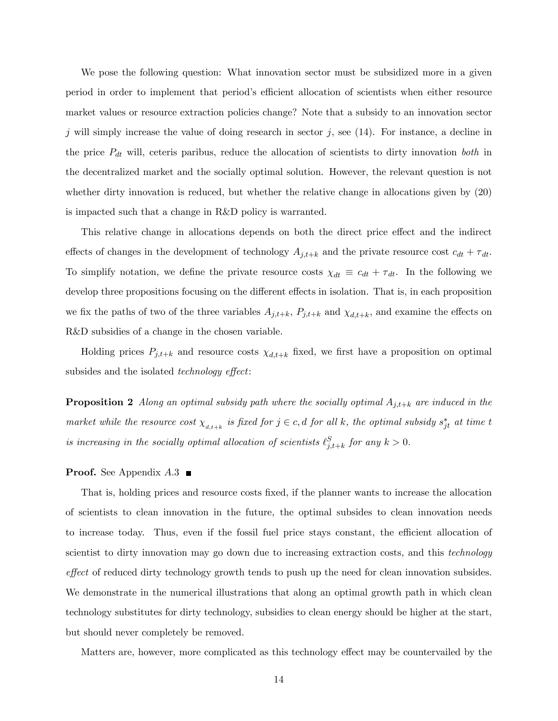We pose the following question: What innovation sector must be subsidized more in a given period in order to implement that period's efficient allocation of scientists when either resource market values or resource extraction policies change? Note that a subsidy to an innovation sector j will simply increase the value of doing research in sector j, see  $(14)$ . For instance, a decline in the price  $P_{dt}$  will, ceteris paribus, reduce the allocation of scientists to dirty innovation both in the decentralized market and the socially optimal solution. However, the relevant question is not whether dirty innovation is reduced, but whether the relative change in allocations given by (20) is impacted such that a change in R&D policy is warranted.

This relative change in allocations depends on both the direct price effect and the indirect effects of changes in the development of technology  $A_{j,t+k}$  and the private resource cost  $c_{dt} + \tau_{dt}$ . To simplify notation, we define the private resource costs  $\chi_{dt} \equiv c_{dt} + \tau_{dt}$ . In the following we develop three propositions focusing on the different effects in isolation. That is, in each proposition we fix the paths of two of the three variables  $A_{j,t+k}$ ,  $P_{j,t+k}$  and  $\chi_{d,t+k}$ , and examine the effects on R&D subsidies of a change in the chosen variable.

Holding prices  $P_{j,t+k}$  and resource costs  $\chi_{d,t+k}$  fixed, we first have a proposition on optimal subsides and the isolated *technology* effect:

**Proposition 2** Along an optimal subsidy path where the socially optimal  $A_{j,t+k}$  are induced in the market while the resource cost  $\chi_{d,t+k}$  is fixed for  $j \in c, d$  for all k, the optimal subsidy  $s_{jt}^*$  at time t is increasing in the socially optimal allocation of scientists  $\ell_{j,t+k}^S$  for any  $k > 0$ .

## **Proof.** See Appendix  $A.3$

That is, holding prices and resource costs fixed, if the planner wants to increase the allocation of scientists to clean innovation in the future, the optimal subsides to clean innovation needs to increase today. Thus, even if the fossil fuel price stays constant, the efficient allocation of scientist to dirty innovation may go down due to increasing extraction costs, and this *technology* effect of reduced dirty technology growth tends to push up the need for clean innovation subsides. We demonstrate in the numerical illustrations that along an optimal growth path in which clean technology substitutes for dirty technology, subsidies to clean energy should be higher at the start, but should never completely be removed.

Matters are, however, more complicated as this technology effect may be countervailed by the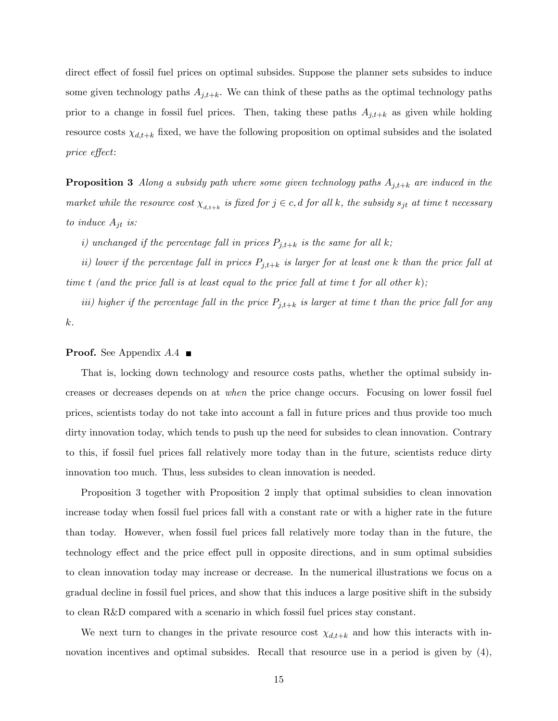direct effect of fossil fuel prices on optimal subsides. Suppose the planner sets subsides to induce some given technology paths  $A_{j,t+k}$ . We can think of these paths as the optimal technology paths prior to a change in fossil fuel prices. Then, taking these paths  $A_{j,t+k}$  as given while holding resource costs  $\chi_{d,t+k}$  fixed, we have the following proposition on optimal subsides and the isolated price effect:

**Proposition 3** Along a subsidy path where some given technology paths  $A_{j,t+k}$  are induced in the market while the resource cost  $\chi_{_{d,t+k}}$  is fixed for  $j \in c,d$  for all k, the subsidy  $s_{jt}$  at time t necessary to induce  $A_{jt}$  is:

i) unchanged if the percentage fall in prices  $P_{j,t+k}$  is the same for all k;

ii) lower if the percentage fall in prices  $P_{j,t+k}$  is larger for at least one k than the price fall at time t (and the price fall is at least equal to the price fall at time t for all other  $k$ );

iii) higher if the percentage fall in the price  $P_{j,t+k}$  is larger at time t than the price fall for any k.

### **Proof.** See Appendix  $A.4 \blacksquare$

That is, locking down technology and resource costs paths, whether the optimal subsidy increases or decreases depends on at when the price change occurs. Focusing on lower fossil fuel prices, scientists today do not take into account a fall in future prices and thus provide too much dirty innovation today, which tends to push up the need for subsides to clean innovation. Contrary to this, if fossil fuel prices fall relatively more today than in the future, scientists reduce dirty innovation too much. Thus, less subsides to clean innovation is needed.

Proposition 3 together with Proposition 2 imply that optimal subsidies to clean innovation increase today when fossil fuel prices fall with a constant rate or with a higher rate in the future than today. However, when fossil fuel prices fall relatively more today than in the future, the technology effect and the price effect pull in opposite directions, and in sum optimal subsidies to clean innovation today may increase or decrease. In the numerical illustrations we focus on a gradual decline in fossil fuel prices, and show that this induces a large positive shift in the subsidy to clean R&D compared with a scenario in which fossil fuel prices stay constant.

We next turn to changes in the private resource cost  $\chi_{d,t+k}$  and how this interacts with innovation incentives and optimal subsides. Recall that resource use in a period is given by  $(4)$ ,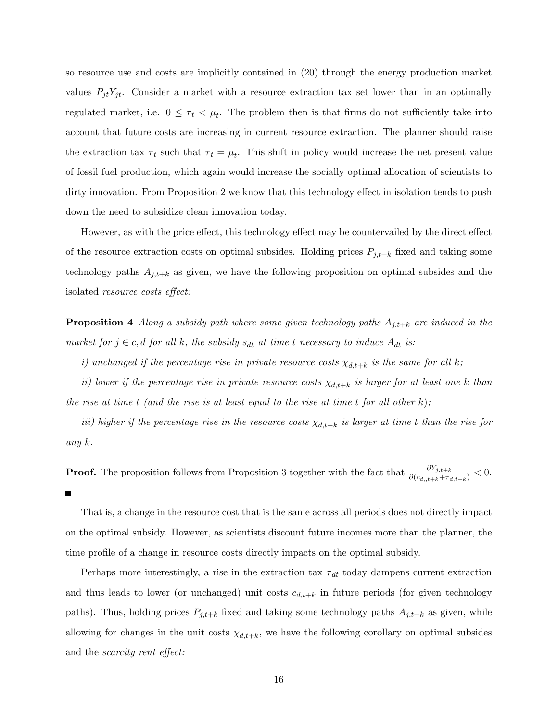so resource use and costs are implicitly contained in (20) through the energy production market values  $P_{it}Y_{jt}$ . Consider a market with a resource extraction tax set lower than in an optimally regulated market, i.e.  $0 \leq \tau_t \leq \mu_t$ . The problem then is that firms do not sufficiently take into account that future costs are increasing in current resource extraction. The planner should raise the extraction tax  $\tau_t$  such that  $\tau_t = \mu_t$ . This shift in policy would increase the net present value of fossil fuel production, which again would increase the socially optimal allocation of scientists to dirty innovation. From Proposition 2 we know that this technology effect in isolation tends to push down the need to subsidize clean innovation today.

However, as with the price effect, this technology effect may be countervailed by the direct effect of the resource extraction costs on optimal subsides. Holding prices  $P_{j,t+k}$  fixed and taking some technology paths  $A_{j,t+k}$  as given, we have the following proposition on optimal subsides and the isolated *resource costs effect*:

**Proposition 4** Along a subsidy path where some given technology paths  $A_{j,t+k}$  are induced in the market for  $j \in c, d$  for all k, the subsidy  $s_{dt}$  at time t necessary to induce  $A_{dt}$  is:

i) unchanged if the percentage rise in private resource costs  $\chi_{d,t+k}$  is the same for all k;

ii) lower if the percentage rise in private resource costs  $\chi_{d,t+k}$  is larger for at least one k than the rise at time t (and the rise is at least equal to the rise at time t for all other  $k$ );

iii) higher if the percentage rise in the resource costs  $\chi_{d,t+k}$  is larger at time t than the rise for any k.

**Proof.** The proposition follows from Proposition 3 together with the fact that  $\frac{\partial Y_{j,t+k}}{\partial (c_{d,i,t+k}+\tau_{d,t+k})} < 0$ . П

That is, a change in the resource cost that is the same across all periods does not directly impact on the optimal subsidy. However, as scientists discount future incomes more than the planner, the time profile of a change in resource costs directly impacts on the optimal subsidy.

Perhaps more interestingly, a rise in the extraction tax  $\tau_{dt}$  today dampens current extraction and thus leads to lower (or unchanged) unit costs  $c_{d,t+k}$  in future periods (for given technology paths). Thus, holding prices  $P_{j,t+k}$  fixed and taking some technology paths  $A_{j,t+k}$  as given, while allowing for changes in the unit costs  $\chi_{d,t+k}$ , we have the following corollary on optimal subsides and the *scarcity* rent effect: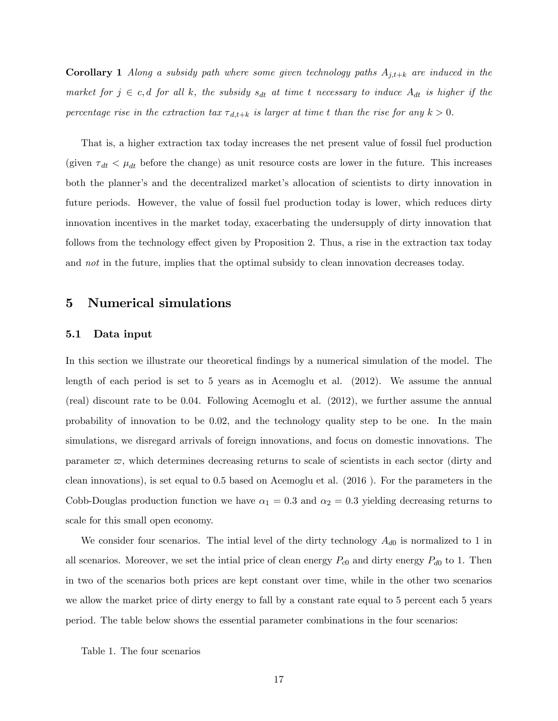**Corollary 1** Along a subsidy path where some given technology paths  $A_{j,t+k}$  are induced in the market for  $j \in c, d$  for all k, the subsidy  $s_{dt}$  at time t necessary to induce  $A_{dt}$  is higher if the percentage rise in the extraction tax  $\tau_{d,t+k}$  is larger at time t than the rise for any  $k > 0$ .

That is, a higher extraction tax today increases the net present value of fossil fuel production (given  $\tau_{dt} < \mu_{dt}$  before the change) as unit resource costs are lower in the future. This increases both the planner's and the decentralized market's allocation of scientists to dirty innovation in future periods. However, the value of fossil fuel production today is lower, which reduces dirty innovation incentives in the market today, exacerbating the undersupply of dirty innovation that follows from the technology effect given by Proposition 2. Thus, a rise in the extraction tax today and *not* in the future, implies that the optimal subsidy to clean innovation decreases today.

# 5 Numerical simulations

## 5.1 Data input

In this section we illustrate our theoretical findings by a numerical simulation of the model. The length of each period is set to 5 years as in Acemoglu et al. (2012). We assume the annual (real) discount rate to be 0.04. Following Acemoglu et al. (2012), we further assume the annual probability of innovation to be 0.02, and the technology quality step to be one. In the main simulations, we disregard arrivals of foreign innovations, and focus on domestic innovations. The parameter  $\varpi$ , which determines decreasing returns to scale of scientists in each sector (dirty and clean innovations), is set equal to 0.5 based on Acemoglu et al. (2016 ). For the parameters in the Cobb-Douglas production function we have  $\alpha_1 = 0.3$  and  $\alpha_2 = 0.3$  yielding decreasing returns to scale for this small open economy.

We consider four scenarios. The intial level of the dirty technology  $A_{d0}$  is normalized to 1 in all scenarios. Moreover, we set the intial price of clean energy  $P_{c0}$  and dirty energy  $P_{d0}$  to 1. Then in two of the scenarios both prices are kept constant over time, while in the other two scenarios we allow the market price of dirty energy to fall by a constant rate equal to 5 percent each 5 years period. The table below shows the essential parameter combinations in the four scenarios:

Table 1. The four scenarios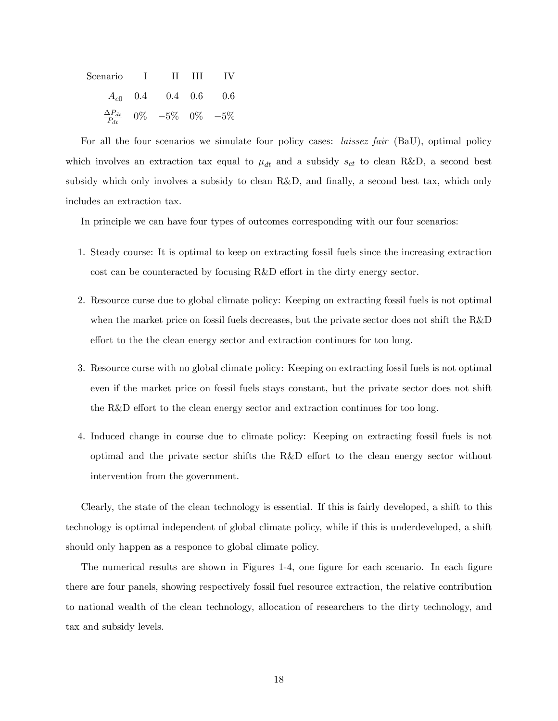| Scenario I II III IV |                                              |  |
|----------------------|----------------------------------------------|--|
|                      | $A_{c0}$ 0.4 0.4 0.6 0.6                     |  |
|                      | $\frac{\Delta P_{dt}}{P_{dt}}$ 0% -5% 0% -5% |  |

For all the four scenarios we simulate four policy cases: laissez fair (BaU), optimal policy which involves an extraction tax equal to  $\mu_{dt}$  and a subsidy  $s_{ct}$  to clean R&D, a second best subsidy which only involves a subsidy to clean R&D, and finally, a second best tax, which only includes an extraction tax.

In principle we can have four types of outcomes corresponding with our four scenarios:

- 1. Steady course: It is optimal to keep on extracting fossil fuels since the increasing extraction cost can be counteracted by focusing R&D effort in the dirty energy sector.
- 2. Resource curse due to global climate policy: Keeping on extracting fossil fuels is not optimal when the market price on fossil fuels decreases, but the private sector does not shift the R&D effort to the the clean energy sector and extraction continues for too long.
- 3. Resource curse with no global climate policy: Keeping on extracting fossil fuels is not optimal even if the market price on fossil fuels stays constant, but the private sector does not shift the R&D effort to the clean energy sector and extraction continues for too long.
- 4. Induced change in course due to climate policy: Keeping on extracting fossil fuels is not optimal and the private sector shifts the R&D effort to the clean energy sector without intervention from the government.

Clearly, the state of the clean technology is essential. If this is fairly developed, a shift to this technology is optimal independent of global climate policy, while if this is underdeveloped, a shift should only happen as a responce to global climate policy.

The numerical results are shown in Figures 1-4, one figure for each scenario. In each figure there are four panels, showing respectively fossil fuel resource extraction, the relative contribution to national wealth of the clean technology, allocation of researchers to the dirty technology, and tax and subsidy levels.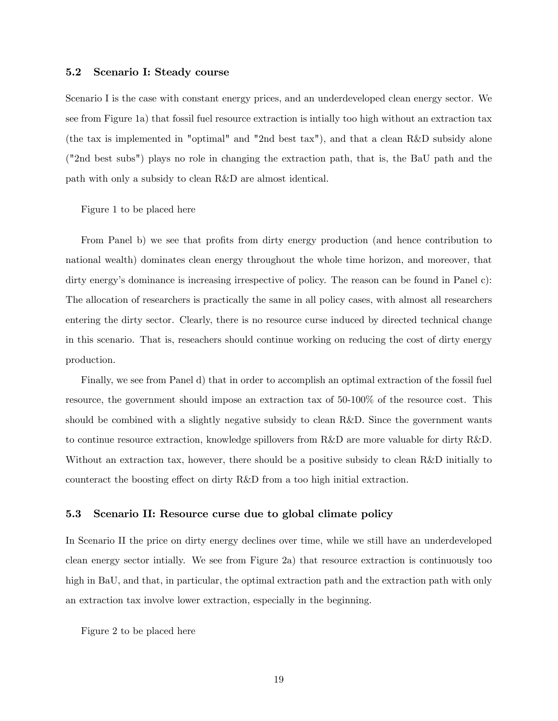## 5.2 Scenario I: Steady course

Scenario I is the case with constant energy prices, and an underdeveloped clean energy sector. We see from Figure 1a) that fossil fuel resource extraction is intially too high without an extraction tax (the tax is implemented in "optimal" and "2nd best tax"), and that a clean R&D subsidy alone ("2nd best subs") plays no role in changing the extraction path, that is, the BaU path and the path with only a subsidy to clean R&D are almost identical.

Figure 1 to be placed here

From Panel b) we see that profits from dirty energy production (and hence contribution to national wealth) dominates clean energy throughout the whole time horizon, and moreover, that dirty energy's dominance is increasing irrespective of policy. The reason can be found in Panel c): The allocation of researchers is practically the same in all policy cases, with almost all researchers entering the dirty sector. Clearly, there is no resource curse induced by directed technical change in this scenario. That is, reseachers should continue working on reducing the cost of dirty energy production.

Finally, we see from Panel d) that in order to accomplish an optimal extraction of the fossil fuel resource, the government should impose an extraction tax of 50-100% of the resource cost. This should be combined with a slightly negative subsidy to clean R&D. Since the government wants to continue resource extraction, knowledge spillovers from R&D are more valuable for dirty R&D. Without an extraction tax, however, there should be a positive subsidy to clean R&D initially to counteract the boosting effect on dirty  $R&D$  from a too high initial extraction.

### 5.3 Scenario II: Resource curse due to global climate policy

In Scenario II the price on dirty energy declines over time, while we still have an underdeveloped clean energy sector intially. We see from Figure 2a) that resource extraction is continuously too high in BaU, and that, in particular, the optimal extraction path and the extraction path with only an extraction tax involve lower extraction, especially in the beginning.

Figure 2 to be placed here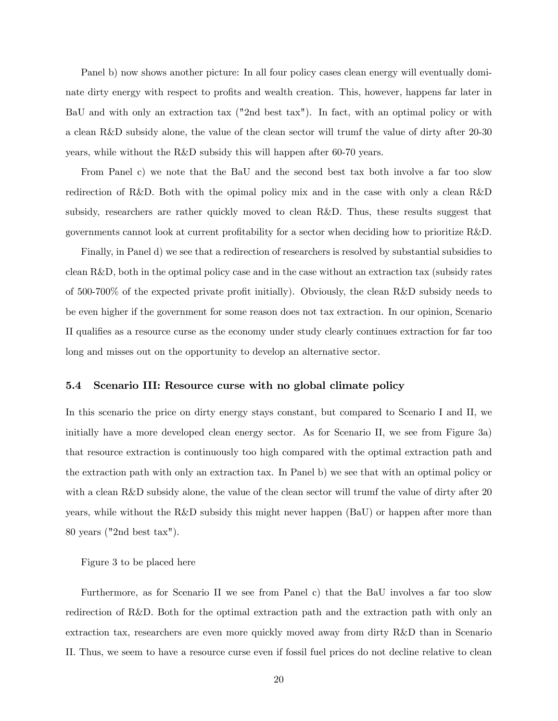Panel b) now shows another picture: In all four policy cases clean energy will eventually dominate dirty energy with respect to profits and wealth creation. This, however, happens far later in BaU and with only an extraction tax ("2nd best tax"). In fact, with an optimal policy or with a clean R&D subsidy alone, the value of the clean sector will trumf the value of dirty after 20-30 years, while without the R&D subsidy this will happen after 60-70 years.

From Panel c) we note that the BaU and the second best tax both involve a far too slow redirection of R&D. Both with the opimal policy mix and in the case with only a clean R&D subsidy, researchers are rather quickly moved to clean R&D. Thus, these results suggest that governments cannot look at current profitability for a sector when deciding how to prioritize R&D.

Finally, in Panel d) we see that a redirection of researchers is resolved by substantial subsidies to clean R&D, both in the optimal policy case and in the case without an extraction tax (subsidy rates of  $500-700\%$  of the expected private profit initially). Obviously, the clean R&D subsidy needs to be even higher if the government for some reason does not tax extraction. In our opinion, Scenario II qualifies as a resource curse as the economy under study clearly continues extraction for far too long and misses out on the opportunity to develop an alternative sector.

### 5.4 Scenario III: Resource curse with no global climate policy

In this scenario the price on dirty energy stays constant, but compared to Scenario I and II, we initially have a more developed clean energy sector. As for Scenario II, we see from Figure 3a) that resource extraction is continuously too high compared with the optimal extraction path and the extraction path with only an extraction tax. In Panel b) we see that with an optimal policy or with a clean R&D subsidy alone, the value of the clean sector will trumf the value of dirty after 20 years, while without the R&D subsidy this might never happen (BaU) or happen after more than 80 years ("2nd best tax").

Figure 3 to be placed here

Furthermore, as for Scenario II we see from Panel c) that the BaU involves a far too slow redirection of R&D. Both for the optimal extraction path and the extraction path with only an extraction tax, researchers are even more quickly moved away from dirty R&D than in Scenario II. Thus, we seem to have a resource curse even if fossil fuel prices do not decline relative to clean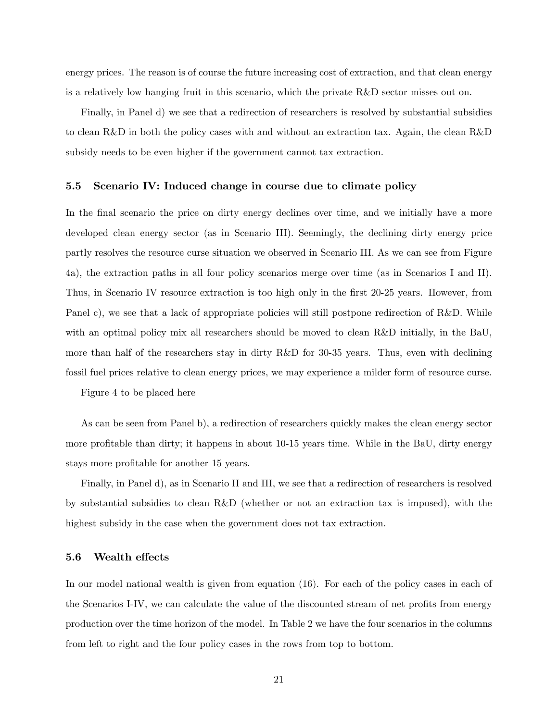energy prices. The reason is of course the future increasing cost of extraction, and that clean energy is a relatively low hanging fruit in this scenario, which the private R&D sector misses out on.

Finally, in Panel d) we see that a redirection of researchers is resolved by substantial subsidies to clean R&D in both the policy cases with and without an extraction tax. Again, the clean R&D subsidy needs to be even higher if the government cannot tax extraction.

## 5.5 Scenario IV: Induced change in course due to climate policy

In the final scenario the price on dirty energy declines over time, and we initially have a more developed clean energy sector (as in Scenario III). Seemingly, the declining dirty energy price partly resolves the resource curse situation we observed in Scenario III. As we can see from Figure 4a), the extraction paths in all four policy scenarios merge over time (as in Scenarios I and II). Thus, in Scenario IV resource extraction is too high only in the first 20-25 years. However, from Panel c), we see that a lack of appropriate policies will still postpone redirection of R&D. While with an optimal policy mix all researchers should be moved to clean R&D initially, in the BaU, more than half of the researchers stay in dirty R&D for 30-35 years. Thus, even with declining fossil fuel prices relative to clean energy prices, we may experience a milder form of resource curse.

Figure 4 to be placed here

As can be seen from Panel b), a redirection of researchers quickly makes the clean energy sector more profitable than dirty; it happens in about 10-15 years time. While in the BaU, dirty energy stays more profitable for another 15 years.

Finally, in Panel d), as in Scenario II and III, we see that a redirection of researchers is resolved by substantial subsidies to clean R&D (whether or not an extraction tax is imposed), with the highest subsidy in the case when the government does not tax extraction.

## 5.6 Wealth effects

In our model national wealth is given from equation (16). For each of the policy cases in each of the Scenarios I-IV, we can calculate the value of the discounted stream of net profits from energy production over the time horizon of the model. In Table 2 we have the four scenarios in the columns from left to right and the four policy cases in the rows from top to bottom.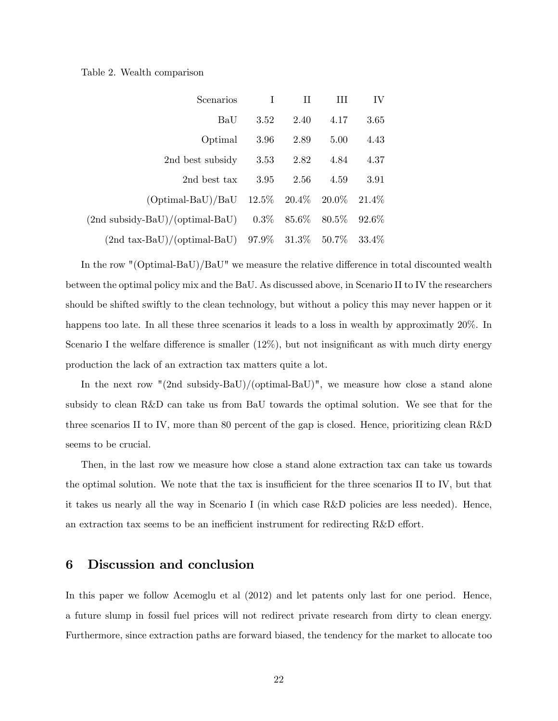### Table 2. Wealth comparison

| IV       | Ш        | Н             | Τ    | Scenarios                                                       |
|----------|----------|---------------|------|-----------------------------------------------------------------|
| 3.65     | 4.17     | 2.40          | 3.52 | BaU                                                             |
| 4.43     | 5.00     | 2.89          | 3.96 | Optimal                                                         |
| 4.37     | 4.84     | 2.82          | 3.53 | 2nd best subsidy                                                |
| 3.91     | 4.59     | 2.56          | 3.95 | 2nd best tax                                                    |
| $21.4\%$ |          |               |      | $(Optimal-BaU)/BaU$ 12.5% 20.4% 20.0%                           |
| 92.6%    | $80.5\%$ | $0.3\%$ 85.6% |      | $(2nd$ subsidy-BaU $)/$ (optimal-BaU)                           |
| $33.4\%$ |          |               |      | $(2nd \text{ tax-BaU})/(optimal \text{-BaU})$ 97.9% 31.3% 50.7% |

In the row "(Optimal-BaU)/BaU" we measure the relative difference in total discounted wealth between the optimal policy mix and the BaU. As discussed above, in Scenario II to IV the researchers should be shifted swiftly to the clean technology, but without a policy this may never happen or it happens too late. In all these three scenarios it leads to a loss in wealth by approximatly 20%. In Scenario I the welfare difference is smaller  $(12\%)$ , but not insignificant as with much dirty energy production the lack of an extraction tax matters quite a lot.

In the next row "(2nd subsidy-BaU)/(optimal-BaU)", we measure how close a stand alone subsidy to clean R&D can take us from BaU towards the optimal solution. We see that for the three scenarios II to IV, more than 80 percent of the gap is closed. Hence, prioritizing clean R&D seems to be crucial.

Then, in the last row we measure how close a stand alone extraction tax can take us towards the optimal solution. We note that the tax is insufficient for the three scenarios II to IV, but that it takes us nearly all the way in Scenario I (in which case R&D policies are less needed). Hence, an extraction tax seems to be an inefficient instrument for redirecting  $R&D$  effort.

# 6 Discussion and conclusion

In this paper we follow Acemoglu et al (2012) and let patents only last for one period. Hence, a future slump in fossil fuel prices will not redirect private research from dirty to clean energy. Furthermore, since extraction paths are forward biased, the tendency for the market to allocate too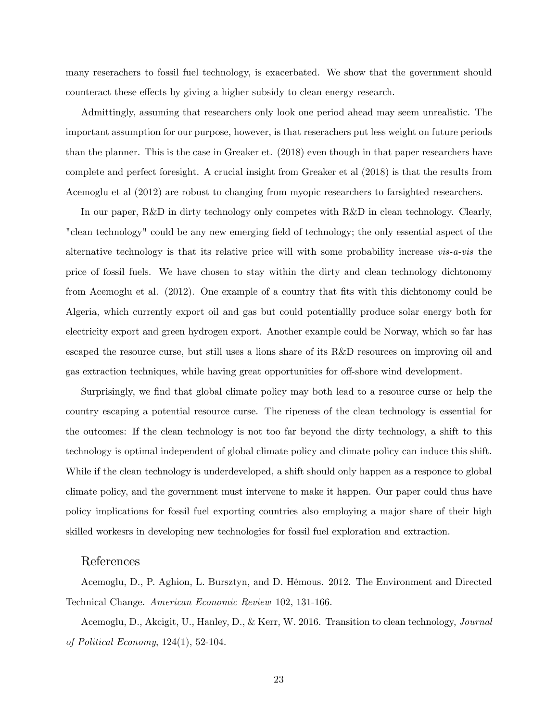many reserachers to fossil fuel technology, is exacerbated. We show that the government should counteract these effects by giving a higher subsidy to clean energy research.

Admittingly, assuming that researchers only look one period ahead may seem unrealistic. The important assumption for our purpose, however, is that reserachers put less weight on future periods than the planner. This is the case in Greaker et. (2018) even though in that paper researchers have complete and perfect foresight. A crucial insight from Greaker et al (2018) is that the results from Acemoglu et al (2012) are robust to changing from myopic researchers to farsighted researchers.

In our paper, R&D in dirty technology only competes with R&D in clean technology. Clearly, "clean technology" could be any new emerging field of technology; the only essential aspect of the alternative technology is that its relative price will with some probability increase vis-a-vis the price of fossil fuels. We have chosen to stay within the dirty and clean technology dichtonomy from Acemoglu et al.  $(2012)$ . One example of a country that fits with this dichtonomy could be Algeria, which currently export oil and gas but could potentiallly produce solar energy both for electricity export and green hydrogen export. Another example could be Norway, which so far has escaped the resource curse, but still uses a lions share of its R&D resources on improving oil and gas extraction techniques, while having great opportunities for off-shore wind development.

Surprisingly, we find that global climate policy may both lead to a resource curse or help the country escaping a potential resource curse. The ripeness of the clean technology is essential for the outcomes: If the clean technology is not too far beyond the dirty technology, a shift to this technology is optimal independent of global climate policy and climate policy can induce this shift. While if the clean technology is underdeveloped, a shift should only happen as a responce to global climate policy, and the government must intervene to make it happen. Our paper could thus have policy implications for fossil fuel exporting countries also employing a major share of their high skilled workesrs in developing new technologies for fossil fuel exploration and extraction.

## References

Acemoglu, D., P. Aghion, L. Bursztyn, and D. HÈmous. 2012. The Environment and Directed Technical Change. American Economic Review 102, 131-166.

Acemoglu, D., Akcigit, U., Hanley, D., & Kerr, W. 2016. Transition to clean technology, Journal of Political Economy, 124(1), 52-104.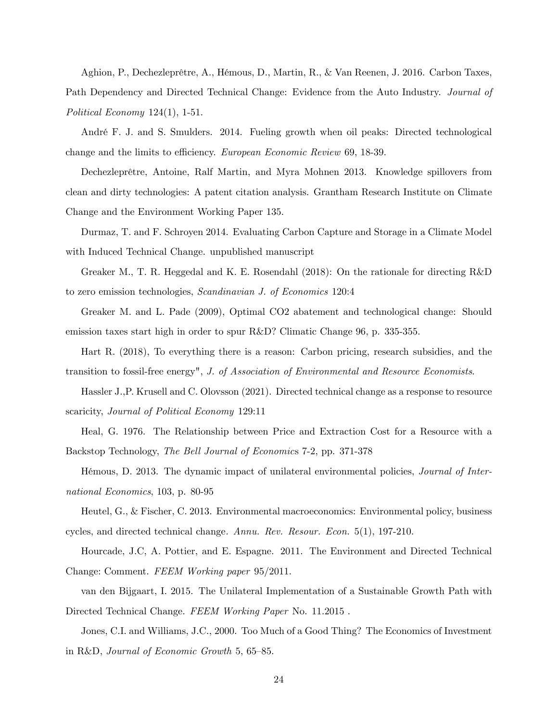Aghion, P., Dechezleprêtre, A., Hémous, D., Martin, R., & Van Reenen, J. 2016. Carbon Taxes, Path Dependency and Directed Technical Change: Evidence from the Auto Industry. Journal of Political Economy 124(1), 1-51.

André F. J. and S. Smulders. 2014. Fueling growth when oil peaks: Directed technological change and the limits to efficiency. European Economic Review 69, 18-39.

Dechezleprêtre, Antoine, Ralf Martin, and Myra Mohnen 2013. Knowledge spillovers from clean and dirty technologies: A patent citation analysis. Grantham Research Institute on Climate Change and the Environment Working Paper 135.

Durmaz, T. and F. Schroyen 2014. Evaluating Carbon Capture and Storage in a Climate Model with Induced Technical Change. unpublished manuscript

Greaker M., T. R. Heggedal and K. E. Rosendahl (2018): On the rationale for directing R&D to zero emission technologies, Scandinavian J. of Economics 120:4

Greaker M. and L. Pade (2009), Optimal CO2 abatement and technological change: Should emission taxes start high in order to spur R&D? Climatic Change 96, p. 335-355.

Hart R. (2018), To everything there is a reason: Carbon pricing, research subsidies, and the transition to fossil-free energy", J. of Association of Environmental and Resource Economists.

Hassler J.,P. Krusell and C. Olovsson (2021). Directed technical change as a response to resource scaricity, *Journal of Political Economy* 129:11

Heal, G. 1976. The Relationship between Price and Extraction Cost for a Resource with a Backstop Technology, The Bell Journal of Economics 7-2, pp. 371-378

Hémous, D. 2013. The dynamic impact of unilateral environmental policies, *Journal of Inter*national Economics, 103, p. 80-95

Heutel, G., & Fischer, C. 2013. Environmental macroeconomics: Environmental policy, business cycles, and directed technical change. Annu. Rev. Resour. Econ. 5(1), 197-210.

Hourcade, J.C, A. Pottier, and E. Espagne. 2011. The Environment and Directed Technical Change: Comment. FEEM Working paper 95/2011.

van den Bijgaart, I. 2015. The Unilateral Implementation of a Sustainable Growth Path with Directed Technical Change. FEEM Working Paper No. 11.2015 .

Jones, C.I. and Williams, J.C., 2000. Too Much of a Good Thing? The Economics of Investment in R&D, Journal of Economic Growth  $5, 65-85$ .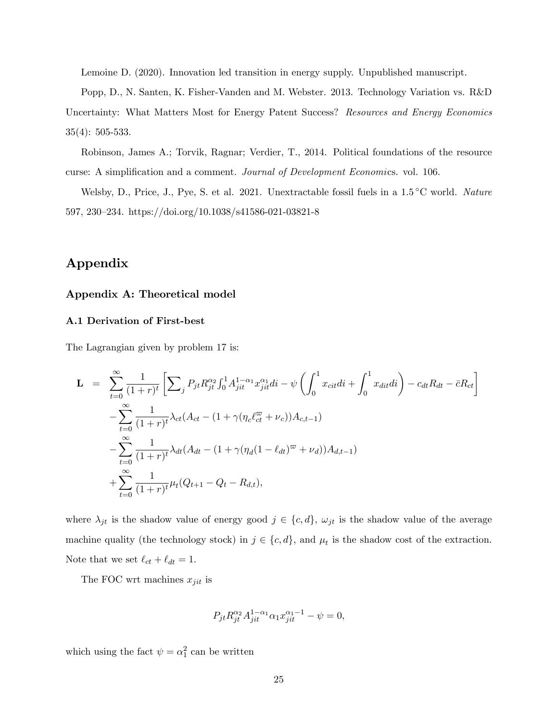Lemoine D. (2020). Innovation led transition in energy supply. Unpublished manuscript.

Popp, D., N. Santen, K. Fisher-Vanden and M. Webster. 2013. Technology Variation vs. R&D

Uncertainty: What Matters Most for Energy Patent Success? Resources and Energy Economics 35(4): 505-533.

Robinson, James A.; Torvik, Ragnar; Verdier, T., 2014. Political foundations of the resource curse: A simplification and a comment. *Journal of Development Economics*. vol. 106.

Welsby, D., Price, J., Pye, S. et al. 2021. Unextractable fossil fuels in a  $1.5\textdegree C$  world. Nature 597, 230–234. https://doi.org/10.1038/s41586-021-03821-8

# Appendix

## Appendix A: Theoretical model

## A.1 Derivation of First-best

The Lagrangian given by problem 17 is:

$$
\mathbf{L} = \sum_{t=0}^{\infty} \frac{1}{(1+r)^t} \left[ \sum_j P_{jt} R_{jt}^{\alpha_2} \int_0^1 A_{jit}^{1-\alpha_1} x_{jit}^{\alpha_1} di - \psi \left( \int_0^1 x_{cit} di + \int_0^1 x_{dit} di \right) - c_{dt} R_{dt} - \bar{c} R_{ct} \right]
$$
  

$$
- \sum_{t=0}^{\infty} \frac{1}{(1+r)^t} \lambda_{ct} (A_{ct} - (1+\gamma(\eta_c \ell_{ct}^{\varpi} + \nu_c)) A_{c,t-1})
$$
  

$$
- \sum_{t=0}^{\infty} \frac{1}{(1+r)^t} \lambda_{dt} (A_{dt} - (1+\gamma(\eta_d(1-\ell_{dt})^{\varpi} + \nu_d)) A_{d,t-1})
$$
  

$$
+ \sum_{t=0}^{\infty} \frac{1}{(1+r)^t} \mu_t (Q_{t+1} - Q_t - R_{d,t}),
$$

where  $\lambda_{jt}$  is the shadow value of energy good  $j \in \{c, d\}$ ,  $\omega_{jt}$  is the shadow value of the average machine quality (the technology stock) in  $j \in \{c, d\}$ , and  $\mu_t$  is the shadow cost of the extraction. Note that we set  $\ell_{ct} + \ell_{dt} = 1$ .

The FOC wrt machines  $x_{jit}$  is

$$
P_{jt}R_{jt}^{\alpha_2}A_{jit}^{1-\alpha_1}\alpha_1x_{jit}^{\alpha_1-1} - \psi = 0,
$$

which using the fact  $\psi = \alpha_1^2$  can be written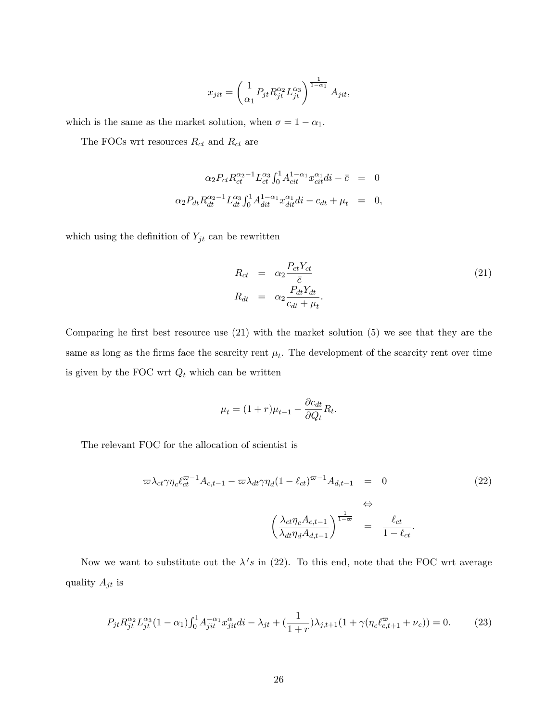$$
x_{jit} = \left(\frac{1}{\alpha_1} P_{jt} R_{jt}^{\alpha_2} L_{jt}^{\alpha_3}\right)^{\frac{1}{1-\alpha_1}} A_{jit},
$$

which is the same as the market solution, when  $\sigma = 1 - \alpha_1$ .

The FOCs wrt resources  $\mathcal{R}_{ct}$  and  $\mathcal{R}_{ct}$  are

$$
\alpha_2 P_{ct} R_{ct}^{\alpha_2 - 1} L_{ct}^{\alpha_3} \int_0^1 A_{cit}^{1 - \alpha_1} x_{cit}^{\alpha_1} di - \bar{c} = 0
$$
  

$$
\alpha_2 P_{dt} R_{dt}^{\alpha_2 - 1} L_{dt}^{\alpha_3} \int_0^1 A_{dit}^{1 - \alpha_1} x_{dit}^{\alpha_1} di - c_{dt} + \mu_t = 0,
$$

which using the definition of  $Y_{jt}$  can be rewritten

$$
R_{ct} = \alpha_2 \frac{P_{ct} Y_{ct}}{\bar{c}}
$$
  
\n
$$
R_{dt} = \alpha_2 \frac{P_{dt} Y_{dt}}{c_{dt} + \mu_t}.
$$
\n(21)

Comparing he first best resource use  $(21)$  with the market solution  $(5)$  we see that they are the same as long as the firms face the scarcity rent  $\mu_t$ . The development of the scarcity rent over time is given by the FOC wrt $\mathcal{Q}_t$  which can be written

$$
\mu_t = (1+r)\mu_{t-1} - \frac{\partial c_{dt}}{\partial Q_t} R_t.
$$

The relevant FOC for the allocation of scientist is

$$
\varpi \lambda_{ct} \gamma \eta_c \ell_{ct}^{\varpi - 1} A_{c, t - 1} - \varpi \lambda_{dt} \gamma \eta_d (1 - \ell_{ct})^{\varpi - 1} A_{d, t - 1} = 0
$$
\n
$$
\Leftrightarrow
$$
\n
$$
\left( \frac{\lambda_{ct} \eta_c A_{c, t - 1}}{\lambda_{dt} \eta_d A_{d, t - 1}} \right)^{\frac{1}{1 - \varpi}} = \frac{\ell_{ct}}{1 - \ell_{ct}}.
$$
\n(22)

Now we want to substitute out the  $\lambda's$  in (22). To this end, note that the FOC wrt average quality  $A_{jt}$  is

$$
P_{jt} R_{jt}^{\alpha_2} L_{jt}^{\alpha_3} (1 - \alpha_1) \int_0^1 A_{jit}^{-\alpha_1} x_{jit}^{\alpha} di - \lambda_{jt} + \left(\frac{1}{1+r}\right) \lambda_{j,t+1} (1 + \gamma (\eta_c \ell_{c,t+1}^{\varpi} + \nu_c)) = 0. \tag{23}
$$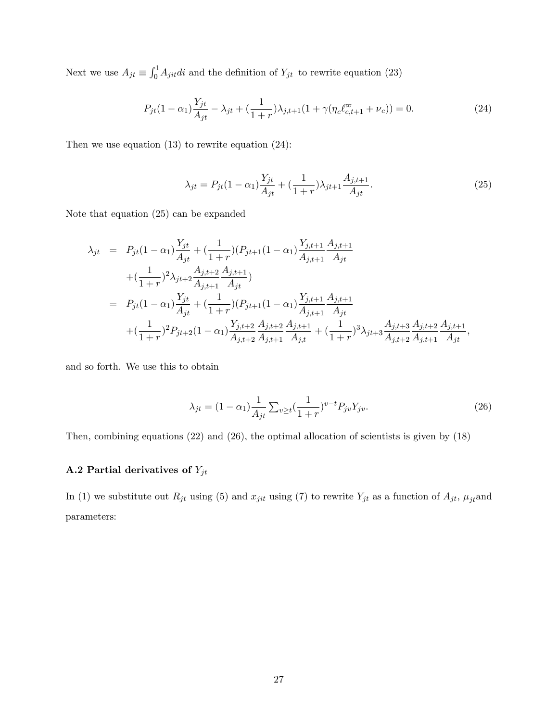Next we use  $A_{jt} \equiv \int_0^1 A_{jit} di$  and the definition of  $Y_{jt}$  to rewrite equation (23)

$$
P_{jt}(1 - \alpha_1) \frac{Y_{jt}}{A_{jt}} - \lambda_{jt} + \left(\frac{1}{1+r}\right) \lambda_{j,t+1} \left(1 + \gamma \left(\eta_c \ell_{c,t+1}^{\varpi} + \nu_c\right)\right) = 0. \tag{24}
$$

Then we use equation  $(13)$  to rewrite equation  $(24)$ :

$$
\lambda_{jt} = P_{jt}(1 - \alpha_1) \frac{Y_{jt}}{A_{jt}} + \left(\frac{1}{1+r}\right) \lambda_{jt+1} \frac{A_{j,t+1}}{A_{jt}}.
$$
\n(25)

Note that equation (25) can be expanded

$$
\lambda_{jt} = P_{jt}(1 - \alpha_1) \frac{Y_{jt}}{A_{jt}} + \left(\frac{1}{1+r}\right) (P_{jt+1}(1 - \alpha_1) \frac{Y_{j,t+1}}{A_{j,t+1}} \frac{A_{j,t+1}}{A_{jt}} \n+ \left(\frac{1}{1+r}\right)^2 \lambda_{jt+2} \frac{A_{j,t+2}}{A_{j,t+1}} \frac{A_{j,t+1}}{A_{jt}} \n= P_{jt}(1 - \alpha_1) \frac{Y_{jt}}{A_{jt}} + \left(\frac{1}{1+r}\right) (P_{jt+1}(1 - \alpha_1) \frac{Y_{j,t+1}}{A_{j,t+1}} \frac{A_{j,t+1}}{A_{jt}} \n+ \left(\frac{1}{1+r}\right)^2 P_{jt+2}(1 - \alpha_1) \frac{Y_{j,t+2}}{A_{j,t+2}} \frac{A_{j,t+2}}{A_{j,t+1}} \frac{A_{j,t+1}}{A_{j,t}} + \left(\frac{1}{1+r}\right)^3 \lambda_{jt+3} \frac{A_{j,t+3}}{A_{j,t+2}} \frac{A_{j,t+2}}{A_{j,t+1}} \frac{A_{j,t+1}}{A_{jt}},
$$

and so forth. We use this to obtain

$$
\lambda_{jt} = (1 - \alpha_1) \frac{1}{A_{jt}} \sum_{v \ge t} (\frac{1}{1+r})^{v-t} P_{jv} Y_{jv}.
$$
\n(26)

Then, combining equations (22) and (26), the optimal allocation of scientists is given by (18)

# A.2 Partial derivatives of  $Y_{jt}$

In (1) we substitute out  $R_{jt}$  using (5) and  $x_{jit}$  using (7) to rewrite  $Y_{jt}$  as a function of  $A_{jt}$ ,  $\mu_{jt}$  and parameters: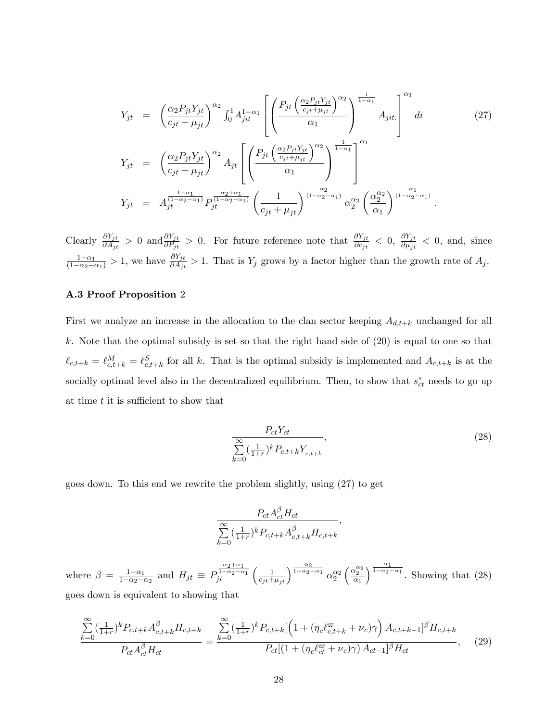$$
Y_{jt} = \left(\frac{\alpha_2 P_{jt} Y_{jt}}{c_{jt} + \mu_{jt}}\right)^{\alpha_2} \int_0^1 A_{jit}^{1-\alpha_1} \left[ \left(\frac{P_{jt} \left(\frac{\alpha_2 P_{jt} Y_{jt}}{c_{jt} + \mu_{jt}}\right)^{\alpha_2}}{\alpha_1}\right)^{\frac{1}{1-\alpha_1}} A_{jit} \right]^{\alpha_1} di \qquad (27)
$$
  
\n
$$
Y_{jt} = \left(\frac{\alpha_2 P_{jt} Y_{jt}}{c_{jt} + \mu_{jt}}\right)^{\alpha_2} A_{jt} \left[ \left(\frac{P_{jt} \left(\frac{\alpha_2 P_{jt} Y_{jt}}{c_{jt} + \mu_{jt}}\right)^{\alpha_2}}{\alpha_1}\right)^{\frac{1}{1-\alpha_1}} \right]^{\alpha_1} \right]
$$
  
\n
$$
Y_{jt} = A_{jt}^{\frac{1-\alpha_1}{(1-\alpha_2-\alpha_1)}} P_{jt}^{\frac{\alpha_2+\alpha_1}{(1-\alpha_2-\alpha_1)}} \left(\frac{1}{c_{jt} + \mu_{jt}}\right)^{\frac{\alpha_2}{(1-\alpha_2-\alpha_1)}} \alpha_2^{\alpha_2} \left(\frac{\alpha_2^{\alpha_2}}{\alpha_1}\right)^{\frac{\alpha_1}{(1-\alpha_2-\alpha_1)}}.
$$

Clearly  $\frac{\partial Y_{jt}}{\partial A_{jt}} > 0$  and  $\frac{\partial Y_{jt}}{\partial P_{jt}} > 0$ . For future reference note that  $\frac{\partial Y_{jt}}{\partial c_{jt}} < 0$ ,  $\frac{\partial Y_{jt}}{\partial \mu_{jt}}$  $\frac{\partial I_{jt}}{\partial \mu_{jt}} < 0$ , and, since  $\frac{1-\alpha_1}{(1-\alpha_2-\alpha_1)} > 1$ , we have  $\frac{\partial Y_{jt}}{\partial A_{jt}} > 1$ . That is  $Y_j$  grows by a factor higher than the growth rate of  $A_j$ .

## A.3 Proof Proposition 2

First we analyze an increase in the allocation to the clan sector keeping  $A_{d,t+k}$  unchanged for all k. Note that the optimal subsidy is set so that the right hand side of (20) is equal to one so that  $\ell_{c,t+k} = \ell_{c,t+k}^M = \ell_{c,t+k}^S$  for all k. That is the optimal subsidy is implemented and  $A_{c,t+k}$  is at the socially optimal level also in the decentralized equilibrium. Then, to show that  $s_{ct}^*$  needs to go up at time  $t$  it is sufficient to show that

$$
\frac{P_{ct}Y_{ct}}{\sum_{k=0}^{\infty} \left(\frac{1}{1+r}\right)^k P_{c,t+k} Y_{c,t+k}},\tag{28}
$$

goes down. To this end we rewrite the problem slightly, using (27) to get

$$
\frac{P_{ct}A_{ct}^{\beta}H_{ct}}{\sum_{k=0}^{\infty}(\frac{1}{1+r})^{k}P_{c,t+k}A_{c,t+k}^{\beta}H_{c,t+k}},
$$

where  $\beta = \frac{1-\alpha_1}{1-\alpha_2}$  $\frac{1-\alpha_1}{1-\alpha_2-\alpha_2}$  and  $H_{jt} \equiv P$  $\int_{jt}^{\frac{\alpha_2+\alpha_1}{1-\alpha_2-\alpha_1}} \left(\frac{1}{c_{jt}+\mu_{jt}}\right)^{\frac{\alpha_2}{1-\alpha_2-\alpha_1}} \alpha_2^{\alpha_2}$  $\Big(\frac{\alpha_2^{\alpha_2}}{\alpha_1}$  $\int_{1-\alpha_2-\alpha_1}^{\alpha_1}$ . Showing that (28) goes down is equivalent to showing that

$$
\frac{\sum_{k=0}^{\infty} \left(\frac{1}{1+r}\right)^k P_{c,t+k} A_{c,t+k}^{\beta} H_{c,t+k}}{P_{ct} A_{ct}^{\beta} H_{ct}} = \frac{\sum_{k=0}^{\infty} \left(\frac{1}{1+r}\right)^k P_{c,t+k} \left[ \left(1 + \left(\eta_c \ell_{c,t+k}^{\varpi} + \nu_c\right) \gamma\right) A_{c,t+k-1} \right]^{\beta} H_{c,t+k}}{P_{ct} \left[ \left(1 + \left(\eta_c \ell_{ct}^{\varpi} + \nu_c\right) \gamma\right) A_{ct-1} \right]^{\beta} H_{ct}},\tag{29}
$$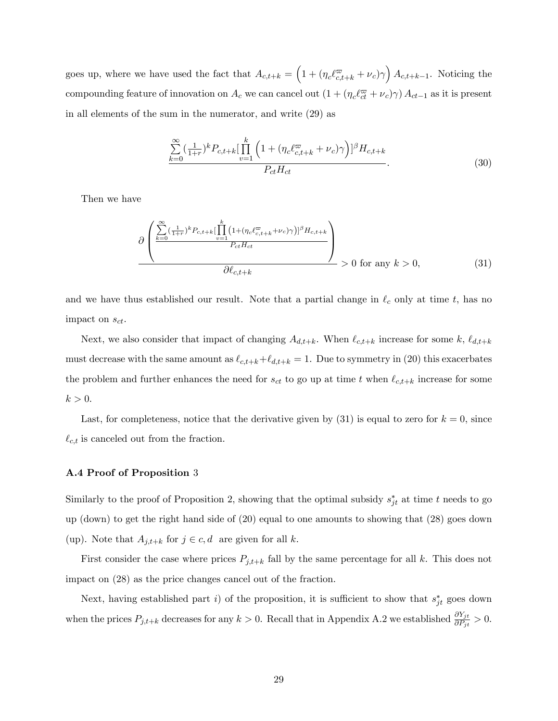goes up, where we have used the fact that  $A_{c,t+k} = \left(1 + \left(\eta_c \ell_{c,t+k}^{\overline{\omega}} + \nu_c\right)\gamma\right) A_{c,t+k-1}$ . Noticing the compounding feature of innovation on  $A_c$  we can cancel out  $(1 + (\eta_c \ell_{ct}^{\varpi} + \nu_c) \gamma) A_{ct-1}$  as it is present in all elements of the sum in the numerator, and write (29) as

$$
\frac{\sum_{k=0}^{\infty} (\frac{1}{1+r})^k P_{c,t+k} [\prod_{v=1}^k \left(1 + (\eta_c \ell_{c,t+k}^{\overline{\omega}} + \nu_c) \gamma\right)]^{\beta} H_{c,t+k}}{P_{ct} H_{ct}}.
$$
\n(30)

Then we have

$$
\frac{\partial \left(\frac{\sum_{k=0}^{\infty} (\frac{1}{1+r})^k P_{c,t+k} [\prod_{v=1}^k (1+(\eta_c \ell_{c,t+k}^{\varpi} + \nu_c)\gamma)]^{\beta} H_{c,t+k}}{P_{ct} H_{ct}}\right)}{\partial \ell_{c,t+k}} > 0 \text{ for any } k > 0,
$$
\n(31)

and we have thus established our result. Note that a partial change in  $\ell_c$  only at time t, has no impact on  $s_{ct}$ .

Next, we also consider that impact of changing  $A_{d,t+k}$ . When  $\ell_{c,t+k}$  increase for some k,  $\ell_{d,t+k}$ must decrease with the same amount as  $\ell_{c,t+k}+\ell_{d,t+k} = 1$ . Due to symmetry in (20) this exacerbates the problem and further enhances the need for  $s_{ct}$  to go up at time t when  $\ell_{c,t+k}$  increase for some  $k > 0$ .

Last, for completeness, notice that the derivative given by  $(31)$  is equal to zero for  $k = 0$ , since  $\ell_{c,t}$  is canceled out from the fraction.

## A.4 Proof of Proposition 3

Similarly to the proof of Proposition 2, showing that the optimal subsidy  $s_{jt}^*$  at time t needs to go up (down) to get the right hand side of (20) equal to one amounts to showing that (28) goes down (up). Note that  $A_{j,t+k}$  for  $j \in c, d$  are given for all k.

First consider the case where prices  $P_{j,t+k}$  fall by the same percentage for all k. This does not impact on (28) as the price changes cancel out of the fraction.

Next, having established part *i*) of the proposition, it is sufficient to show that  $s_{jt}^*$  goes down when the prices  $P_{j,t+k}$  decreases for any  $k > 0$ . Recall that in Appendix A.2 we established  $\frac{\partial Y_{jt}}{\partial P_{jt}} > 0$ .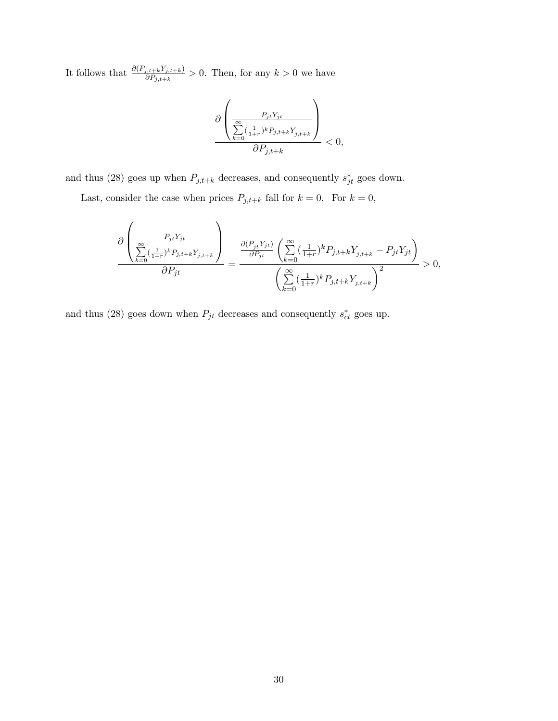It follows that  $\frac{\partial (P_{j,t+k}Y_{j,t+k})}{\partial P_{j,t+k}} > 0$ . Then, for any  $k > 0$  we have

$$
\frac{\partial\left(\frac{P_{jt}Y_{jt}}{\sum\limits_{k=0}^{\infty}(\frac{1}{1+r})^kP_{j,t+k}Y_{j,t+k}}\right)}{\partial P_{j,t+k}}<0,
$$

and thus (28) goes up when  $P_{j,t+k}$  decreases, and consequently  $s_{jt}^*$  goes down.

Last, consider the case when prices  $P_{j,t+k}$  fall for  $k = 0$ . For  $k = 0$ ,

$$
\frac{\partial \left( \frac{P_{jt}Y_{jt}}{\sum_{k=0}^{\infty} (\frac{1}{1+r})^k P_{j,t+k} Y_{j,t+k}} \right)}{\partial P_{jt}} = \frac{\frac{\partial (P_{jt}Y_{jt})}{\partial P_{jt}} \left( \sum_{k=0}^{\infty} (\frac{1}{1+r})^k P_{j,t+k} Y_{j,t+k} - P_{jt} Y_{jt} \right)}{\left( \sum_{k=0}^{\infty} (\frac{1}{1+r})^k P_{j,t+k} Y_{j,t+k} \right)^2} > 0,
$$

and thus (28) goes down when  $P_{jt}$  decreases and consequently  $s_{ct}^*$  goes up.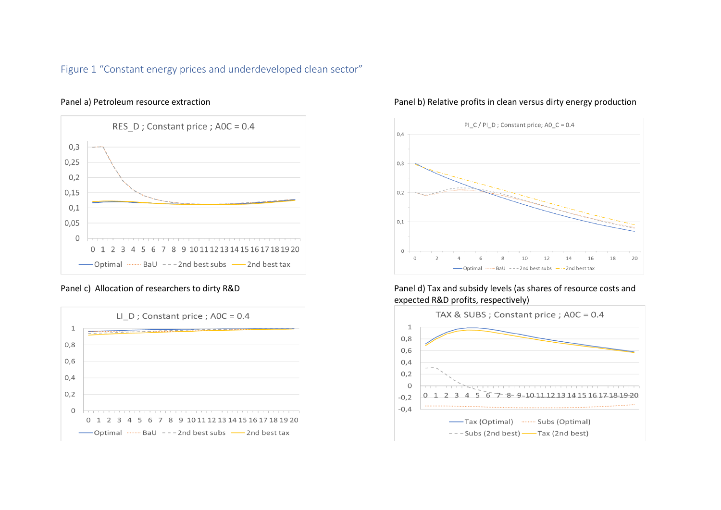# Figure 1 "Constant energy prices and underdeveloped clean sector"





## Panel a) Petroleum resource extraction **Panel b**) Relative profits in clean versus dirty energy production



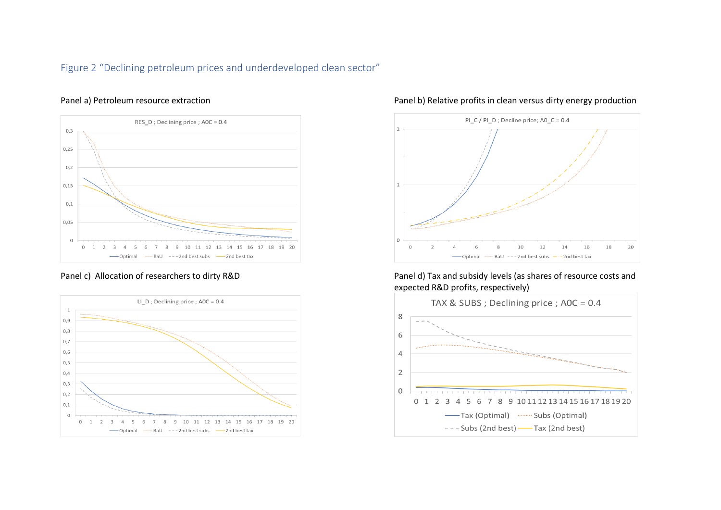# Figure 2 "Declining petroleum prices and underdeveloped clean sector"





## Panel a) Petroleum resource extraction **Panel b**) Relative profits in clean versus dirty energy production



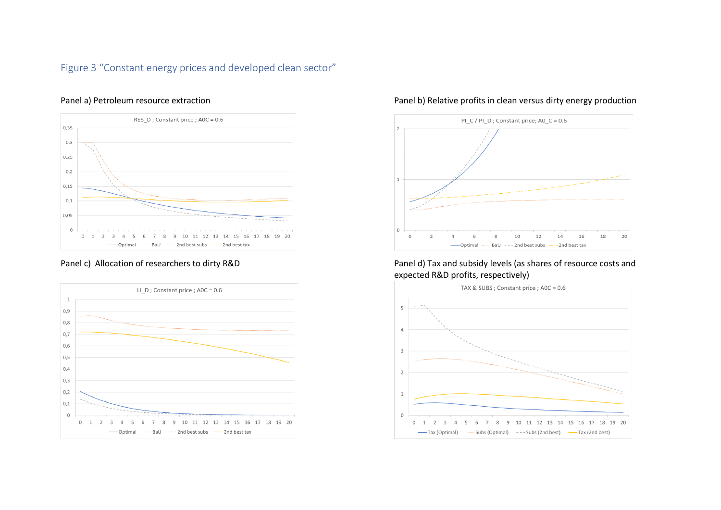# Figure 3 "Constant energy prices and developed clean sector"





## Panel a) Petroleum resource extraction **Panel b**) Relative profits in clean versus dirty energy production